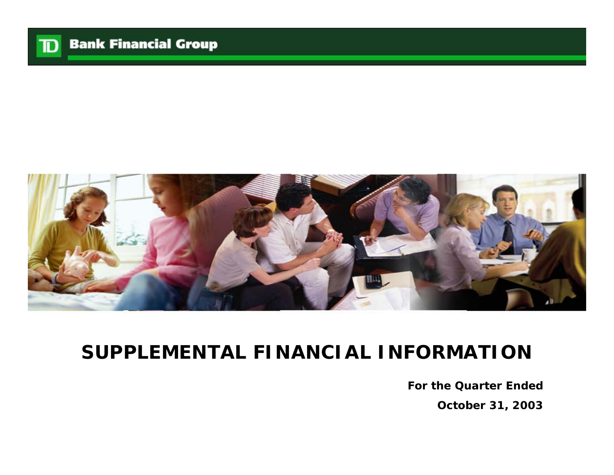

# **SUPPLEMENTAL FINANCIAL INFORMATION**

**For the Quarter EndedOctober 31, 2003**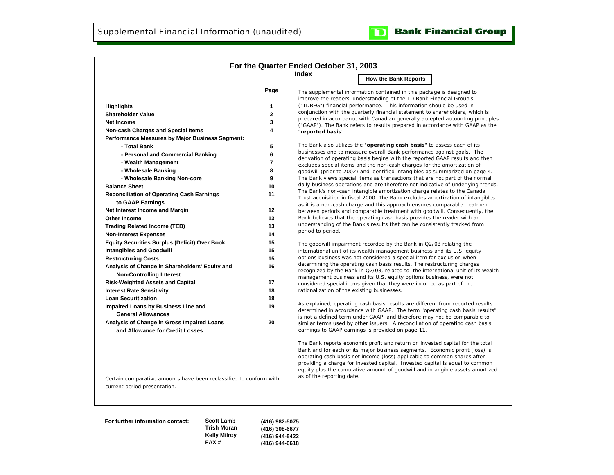### **Bank Financial Group**  $\mathbf{D}$

|                                                                               |                         | For the Quarter Ended October 31, 2003      |                                                                                                                                                                                                                                                                                                                                                                                                           |
|-------------------------------------------------------------------------------|-------------------------|---------------------------------------------|-----------------------------------------------------------------------------------------------------------------------------------------------------------------------------------------------------------------------------------------------------------------------------------------------------------------------------------------------------------------------------------------------------------|
|                                                                               |                         | Index                                       |                                                                                                                                                                                                                                                                                                                                                                                                           |
|                                                                               |                         |                                             | <b>How the Bank Reports</b>                                                                                                                                                                                                                                                                                                                                                                               |
|                                                                               | Page                    |                                             | The supplemental information contained in this package is designed to<br>improve the readers' understanding of the TD Bank Financial Group's                                                                                                                                                                                                                                                              |
| <b>Highlights</b>                                                             | 1                       |                                             | ("TDBFG") financial performance. This information should be used in                                                                                                                                                                                                                                                                                                                                       |
| <b>Shareholder Value</b>                                                      | $\overline{\mathbf{c}}$ |                                             | conjunction with the quarterly financial statement to shareholders, which is                                                                                                                                                                                                                                                                                                                              |
| Net Income                                                                    | 3                       |                                             | prepared in accordance with Canadian generally accepted accounting principles<br>("GAAP"). The Bank refers to results prepared in accordance with GAAP as the                                                                                                                                                                                                                                             |
| <b>Non-cash Charges and Special Items</b>                                     | 4                       | "reported basis".                           |                                                                                                                                                                                                                                                                                                                                                                                                           |
| Performance Measures by Major Business Segment:                               |                         |                                             |                                                                                                                                                                                                                                                                                                                                                                                                           |
| - Total Bank                                                                  | 5                       |                                             | The Bank also utilizes the "operating cash basis" to assess each of its                                                                                                                                                                                                                                                                                                                                   |
| - Personal and Commercial Banking                                             | 6                       |                                             | businesses and to measure overall Bank performance against goals. The                                                                                                                                                                                                                                                                                                                                     |
| - Wealth Management                                                           | $\overline{7}$          |                                             | derivation of operating basis begins with the reported GAAP results and then<br>excludes special items and the non-cash charges for the amortization of                                                                                                                                                                                                                                                   |
| - Wholesale Banking                                                           | 8                       |                                             | goodwill (prior to 2002) and identified intangibles as summarized on page 4.                                                                                                                                                                                                                                                                                                                              |
| - Wholesale Banking Non-core                                                  | 9                       |                                             | The Bank views special items as transactions that are not part of the normal                                                                                                                                                                                                                                                                                                                              |
| <b>Balance Sheet</b>                                                          | 10                      |                                             | daily business operations and are therefore not indicative of underlying trends.                                                                                                                                                                                                                                                                                                                          |
| <b>Reconciliation of Operating Cash Earnings</b>                              | 11                      |                                             | The Bank's non-cash intangible amortization charge relates to the Canada                                                                                                                                                                                                                                                                                                                                  |
| to GAAP Earnings                                                              |                         |                                             | Trust acquisition in fiscal 2000. The Bank excludes amortization of intangibles<br>as it is a non-cash charge and this approach ensures comparable treatment                                                                                                                                                                                                                                              |
| Net Interest Income and Margin                                                | 12                      |                                             | between periods and comparable treatment with goodwill. Consequently, the                                                                                                                                                                                                                                                                                                                                 |
| Other Income                                                                  | 13                      |                                             | Bank believes that the operating cash basis provides the reader with an                                                                                                                                                                                                                                                                                                                                   |
| <b>Trading Related Income (TEB)</b>                                           | 13                      |                                             | understanding of the Bank's results that can be consistently tracked from                                                                                                                                                                                                                                                                                                                                 |
| <b>Non-Interest Expenses</b>                                                  | 14                      | period to period.                           |                                                                                                                                                                                                                                                                                                                                                                                                           |
| <b>Equity Securities Surplus (Deficit) Over Book</b>                          | 15                      |                                             | The goodwill impairment recorded by the Bank in Q2/03 relating the                                                                                                                                                                                                                                                                                                                                        |
| <b>Intangibles and Goodwill</b>                                               | 15                      |                                             | international unit of its wealth management business and its U.S. equity                                                                                                                                                                                                                                                                                                                                  |
| <b>Restructuring Costs</b>                                                    | 15                      |                                             | options business was not considered a special item for exclusion when                                                                                                                                                                                                                                                                                                                                     |
| Analysis of Change in Shareholders' Equity and                                | 16                      |                                             | determining the operating cash basis results. The restructuring charges                                                                                                                                                                                                                                                                                                                                   |
| <b>Non-Controlling Interest</b>                                               |                         |                                             | recognized by the Bank in Q2/03, related to the international unit of its wealth<br>management business and its U.S. equity options business, were not                                                                                                                                                                                                                                                    |
| <b>Risk-Weighted Assets and Capital</b>                                       | 17                      |                                             | considered special items given that they were incurred as part of the                                                                                                                                                                                                                                                                                                                                     |
| <b>Interest Rate Sensitivity</b>                                              | 18                      | rationalization of the existing businesses. |                                                                                                                                                                                                                                                                                                                                                                                                           |
| <b>Loan Securitization</b>                                                    | 18                      |                                             |                                                                                                                                                                                                                                                                                                                                                                                                           |
| Impaired Loans by Business Line and                                           | 19                      |                                             | As explained, operating cash basis results are different from reported results                                                                                                                                                                                                                                                                                                                            |
| <b>General Allowances</b>                                                     |                         |                                             | determined in accordance with GAAP. The term "operating cash basis results"<br>is not a defined term under GAAP, and therefore may not be comparable to                                                                                                                                                                                                                                                   |
| Analysis of Change in Gross Impaired Loans<br>and Allowance for Credit Losses | 20                      |                                             | similar terms used by other issuers. A reconciliation of operating cash basis<br>earnings to GAAP earnings is provided on page 11.                                                                                                                                                                                                                                                                        |
| Certain comparative amounts have been reclassified to conform with            |                         | as of the reporting date.                   | The Bank reports economic profit and return on invested capital for the total<br>Bank and for each of its major business segments. Economic profit (loss) is<br>operating cash basis net income (loss) applicable to common shares after<br>providing a charge for invested capital. Invested capital is equal to common<br>equity plus the cumulative amount of goodwill and intangible assets amortized |
| current period presentation.                                                  |                         |                                             |                                                                                                                                                                                                                                                                                                                                                                                                           |
| $C_{\text{right}}$ $C_{\text{right}}$                                         |                         |                                             |                                                                                                                                                                                                                                                                                                                                                                                                           |

**For further information contact: Scott Lamb**

**Trish Moran Kelly Milroy FAX # (416) 982-5075 (416) 308-6677 (416) 944-5422 (416) 944-6618**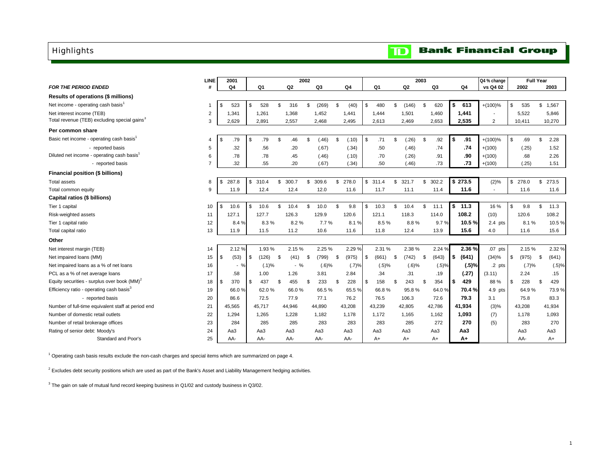## <span id="page-2-0"></span>Highlights

#### **Bank Financial Group**  $\mathbf{D}$

|                                                          | <b>LINE</b>    | 2001        |    |         |    |        | 2002           |          |     |        |                  |     | 2003     |                     |             | Q4 % change              | <b>Full Year</b> |             |
|----------------------------------------------------------|----------------|-------------|----|---------|----|--------|----------------|----------|-----|--------|------------------|-----|----------|---------------------|-------------|--------------------------|------------------|-------------|
| <b>FOR THE PERIOD ENDED</b>                              | #              | Q4          |    | Q1      |    | Q2     |                | Q3       |     | Q4     | Q1               |     | Q2       | Q3                  | Q4          | vs Q4 02                 | 2002             | 2003        |
| Results of operations (\$ millions)                      |                |             |    |         |    |        |                |          |     |        |                  |     |          |                     |             |                          |                  |             |
| Net income - operating cash basis <sup>1</sup>           |                | \$<br>523   | \$ | 528     | \$ | 316    | \$             | (269)    | \$  | (40)   | \$<br>480        | \$  | (146)    | \$<br>620           | \$<br>613   | $+(100)\%$               | \$<br>535        | \$1,567     |
| Net interest income (TEB)                                | $\overline{2}$ | 1.341       |    | 1,261   |    | 1,368  |                | 1,452    |     | 1,441  | 1,444            |     | 1,501    | 1,460               | 1,441       | $\overline{\phantom{a}}$ | 5,522            | 5,846       |
| Total revenue (TEB) excluding special gains <sup>3</sup> | 3              | 2,629       |    | 2,891   |    | 2,557  |                | 2,468    |     | 2,495  | 2,613            |     | 2,469    | 2,653               | 2,535       | $\overline{2}$           | 10,411           | 10,270      |
| Per common share                                         |                |             |    |         |    |        |                |          |     |        |                  |     |          |                     |             |                          |                  |             |
| Basic net income - operating cash basis <sup>1</sup>     | 4              | \$<br>.79   | \$ | .79     | \$ | .46    | \$.            | (.46)    | \$  | (.10)  | \$<br>.71        | \$. | (.26)    | \$<br>.92           | \$<br>.91   | $+(100)\%$               | \$<br>.69        | \$<br>2.28  |
| - reported basis                                         | 5              | .32         |    | .56     |    | .20    |                | (.67)    |     | (.34)  | .50              |     | (.46)    | .74                 | .74         | $+(100)$                 | (.25)            | 1.52        |
| Diluted net income - operating cash basis <sup>1</sup>   | 6              | .78         |    | .78     |    | .45    |                | (.46)    |     | (.10)  | .70              |     | (.26)    | .91                 | .90         | $+(100)$                 | .68              | 2.26        |
| - reported basis                                         | 7              | .32         |    | .55     |    | .20    |                | (.67)    |     | (.34)  | .50              |     | (.46)    | .73                 | .73         | $+(100)$                 | (.25)            | 1.51        |
| Financial position (\$ billions)                         |                |             |    |         |    |        |                |          |     |        |                  |     |          |                     |             |                          |                  |             |
| <b>Total assets</b>                                      | 8              | \$<br>287.8 |    | \$310.4 | \$ | 300.7  | \$             | 309.6    | \$  | 278.0  | \$311.4          | \$  | 321.7    | \$<br>302.2         | \$273.5     | (2)%                     | \$<br>278.0      | \$273.5     |
| Total common equity                                      | 9              | 11.9        |    | 12.4    |    | 12.4   |                | 12.0     |     | 11.6   | 11.7             |     | 11.1     | 11.4                | 11.6        | $\sim$                   | 11.6             | 11.6        |
| Capital ratios (\$ billions)                             |                |             |    |         |    |        |                |          |     |        |                  |     |          |                     |             |                          |                  |             |
| Tier 1 capital                                           | 10             | \$<br>10.6  | S. | 10.6    | S. | 10.4   | \$             | 10.0     | \$  | 9.8    | \$<br>10.3       | \$  | 10.4     | \$<br>11.1          | \$<br>11.3  | 16 %                     | \$<br>9.8        | \$<br>11.3  |
| Risk-weighted assets                                     | 11             | 127.1       |    | 127.7   |    | 126.3  |                | 129.9    |     | 120.6  | 121.1            |     | 118.3    | 114.0               | 108.2       | (10)                     | 120.6            | 108.2       |
| Tier 1 capital ratio                                     | 12             | 8.4 %       |    | 8.3%    |    | 8.2%   |                | 7.7%     |     | 8.1%   | 8.5%             |     | 8.8%     | 9.7%                | 10.5%       | $2.4$ pts                | 8.1%             | 10.5%       |
| Total capital ratio                                      | 13             | 11.9        |    | 11.5    |    | 11.2   |                | 10.6     |     | 11.6   | 11.8             |     | 12.4     | 13.9                | 15.6        | 4.0                      | 11.6             | 15.6        |
| Other                                                    |                |             |    |         |    |        |                |          |     |        |                  |     |          |                     |             |                          |                  |             |
| Net interest margin (TEB)                                | 14             | 2.12%       |    | 1.93%   |    | 2.15%  |                | 2.25 %   |     | 2.29%  | 2.31 %           |     | 2.38%    | 2.24 %              | 2.36%       | .07 <sub>pts</sub>       | 2.15 %           | 2.32 %      |
| Net impaired loans (MM)                                  | 15             | \$<br>(53)  | \$ | (126)   | \$ | (41)   | \$             | (799)    | -\$ | (975)  | \$<br>$(661)$ \$ |     | (742)    | \$<br>(643)         | \$<br>(641) | (34)%                    | \$<br>(975)      | \$<br>(641) |
| Net impaired loans as a % of net loans                   | 16             | $-$ %       |    | (.1)%   |    | $-$ %  |                | $(.6)$ % |     | (.7)%  | (.5)%            |     | $(.6)$ % | $(.5)$ <sup>9</sup> | (.5)%       | .2 <sub>pts</sub>        | (.7)%            | (.5)%       |
| PCL as a % of net average loans                          | 17             | .58         |    | 1.00    |    | 1.26   |                | 3.81     |     | 2.84   | .34              |     | .31      | .19                 | (.27)       | (3.11)                   | 2.24             | .15         |
| Equity securities - surplus over book $(MM)^2$           | 18             | \$<br>370   | S. | 437     | \$ | 455    | $\mathfrak{L}$ | 233      | \$  | 228    | \$<br>158        | \$. | 243      | \$<br>354           | \$<br>429   | 88%                      | \$<br>228        | \$<br>429   |
| Efficiency ratio - operating cash basis <sup>3</sup>     | 19             | 66.0%       |    | 62.0%   |    | 66.0%  |                | 66.5%    |     | 65.5%  | 66.8%            |     | 95.8%    | 64.0%               | 70.4%       | $4.9$ pts                | 64.9%            | 73.9%       |
| - reported basis                                         | 20             | 86.6        |    | 72.5    |    | 77.9   |                | 77.1     |     | 76.2   | 76.5             |     | 106.3    | 72.6                | 79.3        | 3.1                      | 75.8             | 83.3        |
| Number of full-time equivalent staff at period end       | 21             | 45,565      |    | 45.717  |    | 44,946 |                | 44,890   |     | 43,208 | 43,239           |     | 42,805   | 42,786              | 41,934      | (3)%                     | 43,208           | 41,934      |
| Number of domestic retail outlets                        | 22             | 1.294       |    | 1.265   |    | 1.228  |                | 1.182    |     | 1.178  | 1.172            |     | 1,165    | 1,162               | 1,093       | (7)                      | 1,178            | 1,093       |
| Number of retail brokerage offices                       | 23             | 284         |    | 285     |    | 285    |                | 283      |     | 283    | 283              |     | 285      | 272                 | 270         | (5)                      | 283              | 270         |
| Rating of senior debt: Moody's                           | 24             | Aa3         |    | Aa3     |    | Aa3    |                | Aa3      |     | Aa3    | Aa3              |     | Aa3      | Aa3                 | Aa3         |                          | Aa3              | Aa3         |
| Standard and Poor's                                      | 25             | AA-         |    | AA-     |    | AA-    |                | AA-      |     | AA-    | A+               |     | $A+$     | $A+$                | A+          |                          | AA-              | A+          |

1 Operating cash basis results exclude the non-cash charges and special items which are summarized on page 4.

 $2$  Excludes debt security positions which are used as part of the Bank's Asset and Liability Management hedging activities.

 $3$  The gain on sale of mutual fund record keeping business in Q1/02 and custody business in Q3/02.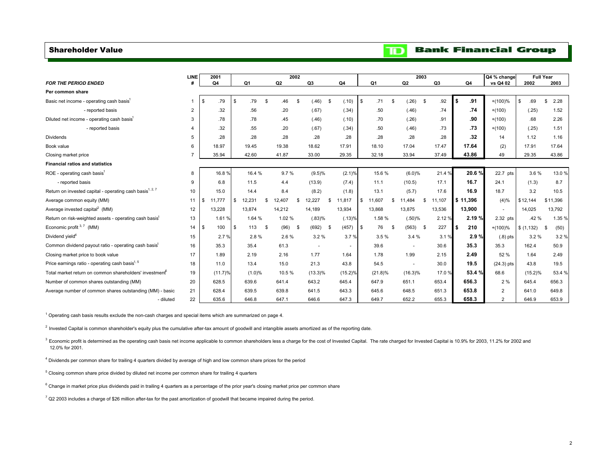### <span id="page-3-0"></span>Shareholder Value

#### **Bank Financial Group**  $\mathbf{D}$

|                                                                      | LINE           |     | 2001    |                |      |                | 2002 |                          |      |            |              |            |      | 2003              |                |   |           | Q4 % change    |           | <b>Full Year</b> |        |
|----------------------------------------------------------------------|----------------|-----|---------|----------------|------|----------------|------|--------------------------|------|------------|--------------|------------|------|-------------------|----------------|---|-----------|----------------|-----------|------------------|--------|
| <b>FOR THE PERIOD ENDED</b>                                          |                |     | Q4      | Q <sub>1</sub> |      | Q <sub>2</sub> |      | Q3                       |      | Q4         |              | Q1         |      | Q2                | Q <sub>3</sub> |   | Q4        | vs Q4 02       | 2002      |                  | 2003   |
| Per common share                                                     |                |     |         |                |      |                |      |                          |      |            |              |            |      |                   |                |   |           |                |           |                  |        |
| Basic net income - operating cash basis <sup>1</sup>                 | $\mathbf{1}$   | \$  | .79     | \$<br>.79      | S.   | .46            | -96  | (.46)                    | - \$ | (.10)      | $\mathbf{s}$ | .71        | - \$ | (.26)<br><b>S</b> | .92            |   | .91<br>\$ | $+(100)%$      | .69       | \$               | 2.28   |
| - reported basis                                                     | $\overline{2}$ |     | .32     | .56            |      | .20            |      | (.67)                    |      | (.34)      |              | .50        |      | (.46)             | .74            |   | .74       | $+(100)$       | (.25)     |                  | 1.52   |
| Diluted net income - operating cash basis <sup>1</sup>               | 3              |     | .78     | .78            |      | .45            |      | (.46)                    |      | (.10)      |              | .70        |      | (.26)             | .91            |   | .90       | $+(100)$       | .68       |                  | 2.26   |
| - reported basis                                                     | 4              |     | .32     | .55            |      | .20            |      | (.67)                    |      | (.34)      |              | .50        |      | (.46)             | .73            |   | .73       | $+(100)$       | (.25)     |                  | 1.51   |
| Dividends                                                            | 5              |     | .28     | .28            |      | .28            |      | .28                      |      | .28        |              | .28        |      | .28               | .28            |   | .32       | 14             | 1.12      |                  | 1.16   |
| Book value                                                           | 6              |     | 18.97   | 19.45          |      | 19.38          |      | 18.62                    |      | 17.91      |              | 18.10      |      | 17.04             | 17.47          |   | 17.64     | (2)            | 17.91     |                  | 17.64  |
| Closing market price                                                 |                |     | 35.94   | 42.60          |      | 41.87          |      | 33.00                    |      | 29.35      |              | 32.18      |      | 33.94             | 37.49          |   | 43.86     | 49             | 29.35     |                  | 43.86  |
| <b>Financial ratios and statistics</b>                               |                |     |         |                |      |                |      |                          |      |            |              |            |      |                   |                |   |           |                |           |                  |        |
| ROE - operating cash basis <sup>1</sup>                              | 8              |     | 16.8%   | 16.4 %         |      | 9.7%           |      | (9.5)%                   |      | (2.1)%     |              | 15.6%      |      | (6.0)%            | 21.4 %         |   | 20.6%     | 22.7 pts       | 3.6%      |                  | 13.0%  |
| - reported basis                                                     | 9              |     | 6.8     | 11.5           |      | 4.4            |      | (13.9)                   |      | (7.4)      |              | 11.1       |      | (10.5)            | 17.1           |   | 16.7      | 24.1           | (1.3)     |                  | 8.7    |
| Return on invested capital - operating cash basis <sup>1, 2, 7</sup> | 10             |     | 15.0    | 14.4           |      | 8.4            |      | (8.2)                    |      | (1.8)      |              | 13.1       |      | (5.7)             | 17.6           |   | 16.9      | 18.7           | 3.2       |                  | 10.5   |
| Average common equity (MM)                                           | 11             | \$  | 11.777  | \$<br>12,231   | \$   | 12,407         | £.   | 12.227                   | \$   | 11,817     | \$           | 11,607     | S    | 11.484<br>S       | 11,107         |   | \$11,396  | (4)%           | \$12,144  | \$11,396         |        |
| Average invested capital <sup>2</sup> (MM)                           | 12             |     | 13,228  | 13,874         |      | 14,212         |      | 14,189                   |      | 13,934     |              | 13,868     |      | 13,875            | 13,536         |   | 13,900    | ٠              | 14,025    |                  | 13,792 |
| Return on risk-weighted assets - operating cash basis <sup>1</sup>   | 13             |     | 1.61 %  | 1.64 %         |      | 1.02%          |      | (.83)%                   |      | (.13)%     |              | 1.58%      |      | (.50)%            | 2.12 %         |   | 2.19%     | 2.32 pts       | .42%      |                  | 1.35 % |
| Economic profit $3.7$ (MM)                                           | 14             | -\$ | 100     | \$<br>113      | - \$ | (96)           | - \$ | (692)                    | - \$ | (457)      | l \$         | 76         | - \$ | (563)<br>- \$     | 227            | S | 210       | $+(100)%$      | \$(1,132) | - \$             | (50)   |
| Dividend yield <sup>4</sup>                                          | 15             |     | 2.7%    | 2.8%           |      | 2.6%           |      | 3.2%                     |      | 3.7%       |              | 3.5%       |      | 3.4%              | 3.1%           |   | 2.9%      | $(.8)$ pts     | 3.2%      |                  | 3.2%   |
| Common dividend payout ratio - operating cash basis <sup>1</sup>     | 16             |     | 35.3    | 35.4           |      | 61.3           |      | $\overline{\phantom{a}}$ |      | ٠          |              | 39.6       |      | ÷                 | 30.6           |   | 35.3      | 35.3           | 162.4     |                  | 50.9   |
| Closing market price to book value                                   | 17             |     | 1.89    | 2.19           |      | 2.16           |      | 1.77                     |      | 1.64       |              | 1.78       |      | 1.99              | 2.15           |   | 2.49      | 52 %           | 1.64      |                  | 2.49   |
| Price earnings ratio - operating cash basis <sup>1, 5</sup>          | 18             |     | 11.0    | 13.4           |      | 15.0           |      | 21.3                     |      | 43.8       |              | 54.5       |      | $\sim$            | 30.0           |   | 19.5      | $(24.3)$ pts   | 43.8      |                  | 19.5   |
| Total market return on common shareholders' investment <sup>6</sup>  | 19             |     | (11.7)% | (1.0)%         |      | 10.5%          |      | $(13.3)\%$               |      | $(15.2)\%$ |              | $(21.8)\%$ |      | $(16.3)\%$        | 17.0%          |   | 53.4 %    | 68.6           | (15.2)%   |                  | 53.4 % |
| Number of common shares outstanding (MM)                             | 20             |     | 628.5   | 639.6          |      | 641.4          |      | 643.2                    |      | 645.4      |              | 647.9      |      | 651.1             | 653.4          |   | 656.3     | 2 %            | 645.4     |                  | 656.3  |
| Average number of common shares outstanding (MM) - basic             | 21             |     | 628.4   | 639.5          |      | 639.8          |      | 641.5                    |      | 643.3      |              | 645.6      |      | 648.5             | 651.3          |   | 653.8     | $\overline{2}$ | 641.0     |                  | 649.8  |
| - diluted                                                            | 22             |     | 635.6   | 646.8          |      | 647.1          |      | 646.6                    |      | 647.3      |              | 649.7      |      | 652.2             | 655.3          |   | 658.3     | 2              | 646.9     |                  | 653.9  |

 $1$  Operating cash basis results exclude the non-cash charges and special items which are summarized on page 4.

<sup>2</sup> Invested Capital is common shareholder's equity plus the cumulative after-tax amount of goodwill and intangible assets amortized as of the reporting date.

<sup>3</sup> Economic profit is determined as the operating cash basis net income applicable to common shareholders less a charge for the cost of Invested Capital. The rate charged for Invested Capital is 10.9% for 2003, 11.2% for 12.0% for 2001.

4 Dividends per common share for trailing 4 quarters divided by average of high and low common share prices for the period

5 Closing common share price divided by diluted net income per common share for trailing 4 quarters

<sup>6</sup> Change in market price plus dividends paid in trailing 4 quarters as a percentage of the prior year's closing market price per common share

 $7$  Q2 2003 includes a charge of \$26 million after-tax for the past amortization of goodwill that became impaired during the period.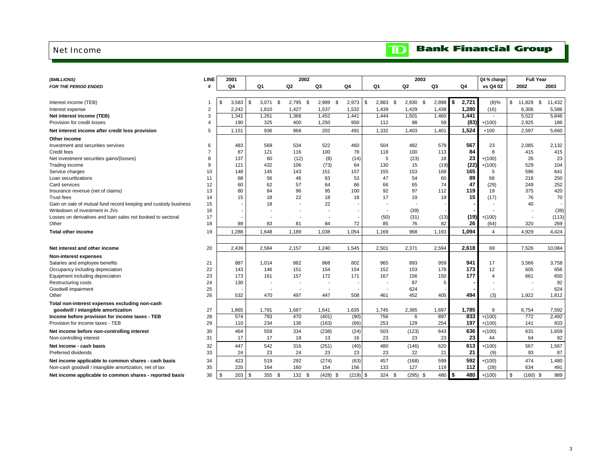### <span id="page-4-0"></span>Net Income

### **Bank Financial Group**  $\mathbf{D}$

| (\$MILLIONS)                                                    | <b>LINE</b>    | 2001        |     |                  | 2002                     |             |            |                     |       | 2003       |        |              | Q4 % change    |                  | <b>Full Year</b> |
|-----------------------------------------------------------------|----------------|-------------|-----|------------------|--------------------------|-------------|------------|---------------------|-------|------------|--------|--------------|----------------|------------------|------------------|
| <b>FOR THE PERIOD ENDED</b>                                     | #              | Q4          |     | Q1               | Q2                       | Q3          | Q4         | Q1                  | Q2    |            | Q3     | Q4           | vs Q4 02       | 2002             | 2003             |
|                                                                 |                |             |     |                  |                          |             |            |                     |       |            |        |              |                |                  |                  |
| Interest income (TEB)                                           |                | \$<br>3,583 |     | \$<br>$3,071$ \$ | $2,795$ \$               | 2,989<br>\$ | 2,973      | \$<br>2,883<br>- \$ |       | $2,930$ \$ | 2,898  | ls.<br>2,721 | (8)%           | \$<br>11,828     | \$<br>11,432     |
| Interest expense                                                | $\overline{2}$ | 2,242       |     | 1,810            | 1,427                    | 1,537       | 1,532      | 1,439               | 1,429 |            | 1,438  | 1,280        | (16)           | 6,306            | 5,586            |
| Net interest income (TEB)                                       | 3              | 1,341       |     | 1,261            | 1,368                    | 1,452       | 1,441      | 1,444               | 1,501 |            | 1,460  | 1,441        | $\blacksquare$ | 5,522            | 5,846            |
| Provision for credit losses                                     |                |             | 190 | 325              | 400                      | 1,250       | 950        | 112                 | 98    |            | 59     | (83)         | $+(100)$       | 2,925            | 186              |
| Net interest income after credit loss provision                 | 5              | 1,151       |     | 936              | 968                      | 202         | 491        | 1,332               | 1,403 |            | 1,401  | 1,524        | $+100$         | 2,597            | 5,660            |
| Other income                                                    |                |             |     |                  |                          |             |            |                     |       |            |        |              |                |                  |                  |
| Investment and securities services                              | 6              |             | 483 | 569              | 534                      | 522         | 460        | 504                 | 482   |            | 579    | 567          | 23             | 2.085            | 2,132            |
| Credit fees                                                     |                |             | 87  | 121              | 116                      | 100         | 78         | 118                 | 100   |            | 113    | 84           | $\mathsf{R}$   | 415              | 415              |
| Net investment securities gains/(losses)                        | 8              |             | 137 | 60               | (12)                     | (8)         | (14)       | 5                   | (23)  |            | 18     | 23           | $+(100)$       | 26               | 23               |
| Trading income                                                  | $\mathbf{Q}$   | 121         |     | 432              | 106                      | (73)        | 64         | 130                 | 15    |            | (19)   | (22)         | $+(100)$       | 529              | 104              |
| Service charges                                                 | 10             |             | 148 | 145              | 143                      | 151         | 157        | 155                 | 153   |            | 168    | 165          | 5              | 596              | 641              |
| Loan securitizations                                            | 11             |             | 68  | 56               | 46                       | 63          | 53         | 47                  | 54    |            | 60     | 89           | 68             | 218              | 250              |
| Card services                                                   | 12             |             | 60  | 62               | 57                       | 64          | 66         | 66                  | 65    |            | 74     | 47           | (29)           | 249              | 252              |
| Insurance revenue (net of claims)                               | 13             |             | 80  | 84               | 96                       | 95          | 100        | 92                  | 97    |            | 112    | 119          | 19             | 375              | 420              |
| <b>Trust fees</b>                                               | 14             |             | 15  | 18               | 22                       | 18          | 18         | 17                  | 19    |            | 19     | 15           | (17)           | 76               | 70               |
| Gain on sale of mutual fund record keeping and custody business | 15             |             |     | 18               |                          | 22          |            |                     |       |            |        |              |                | 40               |                  |
| Writedown of investment in JVs                                  | 16             |             |     |                  | ÷,                       |             |            | $\overline{a}$      | (39)  |            |        |              |                |                  | (39)             |
| Losses on derivatives and loan sales not booked to sectoral     | 17             |             |     |                  |                          |             |            | (50)                | (31)  |            | (13)   | (19)         | $+(100)$       |                  | (113)            |
| Other                                                           | 18             |             | 89  | 83               | 81                       | 84          | 72         | 85                  | 76    |            | 82     | 26           | (64)           | 320              | 269              |
| <b>Total other income</b>                                       | 19             | 1.288       |     | 1,648            | 1,189                    | 1,038       | 1.054      | 1,169               | 968   |            | 1,193  | 1.094        | $\overline{4}$ | 4.929            | 4,424            |
|                                                                 |                |             |     |                  |                          |             |            |                     |       |            |        |              |                |                  |                  |
| Net interest and other income                                   | 20             | 2,439       |     | 2,584            | 2,157                    | 1,240       | 1,545      | 2,501               | 2,371 |            | 2,594  | 2,618        | 69             | 7,526            | 10,084           |
| <b>Non-interest expenses</b>                                    |                |             |     |                  |                          |             |            |                     |       |            |        |              |                |                  |                  |
| Salaries and employee benefits                                  | 21             | 887         |     | 1,014            | 882                      | 868         | 802        | 965                 | 893   |            | 959    | 941          | 17             | 3,566            | 3,758            |
| Occupancy including depreciation                                | 22             |             | 143 | 146              | 151                      | 154         | 154        | 152                 | 153   |            | 178    | 173          | 12             | 605              | 656              |
| Equipment including depreciation                                | 23             |             | 173 | 161              | 157                      | 172         | 171        | 167                 | 156   |            | 150    | 177          | $\overline{4}$ | 661              | 650              |
| Restructuring costs                                             | 24             |             | 130 |                  | $\overline{\phantom{a}}$ |             |            |                     | 87    |            | 5      |              |                |                  | 92               |
| Goodwill impairment                                             | 25             |             |     |                  |                          |             |            |                     | 624   |            |        |              |                |                  | 624              |
| Other                                                           | 26             |             | 532 | 470              | 497                      | 447         | 508        | 461                 | 452   |            | 405    | 494          | (3)            | 1,922            | 1,812            |
| Total non-interest expenses excluding non-cash                  |                |             |     |                  |                          |             |            |                     |       |            |        |              |                |                  |                  |
| goodwill / intangible amortization                              | 27             | 1.865       |     | 1,791            | 1,687                    | 1,641       | 1,635      | 1.745               | 2,365 |            | 1,697  | 1,785        | 9              | 6,754            | 7,592            |
| Income before provision for income taxes - TEB                  | 28             |             | 574 | 793              | 470                      | (401)       | (90)       | 756                 |       | 6          | 897    | 833          | $+(100)$       | 772              | 2,492            |
| Provision for income taxes - TEB                                | 29             | 110         |     | 234              | 136                      | (163)       | (66)       | 253                 | 129   |            | 254    | 197          | $+(100)$       | 141              | 833              |
| Net income before non-controlling interest                      | 30             | 464         |     | 559              | 334                      | (238)       | (24)       | 503                 | (123) |            | 643    | 636          | $+(100)$       | 631              | 1,659            |
| Non-controlling interest                                        | 31             |             | 17  | 17               | 18                       | 13          | 16         | 23                  | 23    |            | 23     | 23           | 44             | 64               | 92               |
| Net income - cash basis                                         | 32             | 447         |     | 542              | 316                      | (251)       | (40)       | 480                 | (146) |            | 620    | 613          | $+(100)$       | 567              | 1,567            |
| Preferred dividends                                             | 33             |             | 24  | 23               | 24                       | 23          | 23         | 23                  | 22    |            | 21     | 21           | (9)            | 93               | 87               |
| Net income applicable to common shares - cash basis             | 34             |             | 423 | 519              | 292                      | (274)       | (63)       | 457                 | (168) |            | 599    | 592          | $+(100)$       | 474              | 1,480            |
| Non-cash goodwill / intangible amortization, net of tax         | 35             |             | 220 | 164              | 160                      | 154         | 156        | 133                 | 127   |            | 119    | 112          | (28)           | 634              | 491              |
| Net income applicable to common shares - reported basis         | 36             | \$          | 203 | \$<br>355 \$     | 132S                     | $(428)$ \$  | $(219)$ \$ | 324S                |       | $(295)$ \$ | 480 \$ | 480          | $+(100)$       | \$<br>$(160)$ \$ | 989              |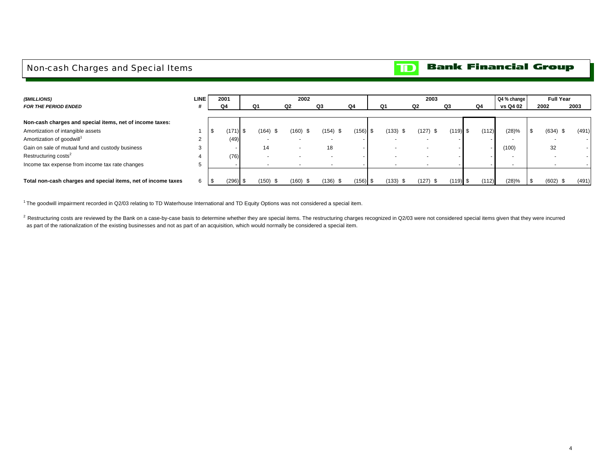## <span id="page-5-0"></span>Non-cash Charges and Special Items

#### **Bank Financial Group**  $\mathbf{D}$

| (\$MILLIONS)                                                  | <b>LINE</b> | 2001  |      |               | 2002                     |            |            |       | 2003         |            |       | Q4 % change |            | <b>Full Year</b> |
|---------------------------------------------------------------|-------------|-------|------|---------------|--------------------------|------------|------------|-------|--------------|------------|-------|-------------|------------|------------------|
| <b>FOR THE PERIOD ENDED</b>                                   |             | Q4    |      | Q1            | Q <sub>2</sub>           | Q3         | Q4         | Q1    | Q2           | Q3         | Q4    | vs Q4 02    | 2002       | 2003             |
|                                                               |             |       |      |               |                          |            |            |       |              |            |       |             |            |                  |
| Non-cash charges and special items, net of income taxes:      |             |       |      |               |                          |            |            |       |              |            |       |             |            |                  |
| Amortization of intangible assets                             |             | (171) | - \$ | (164)<br>- \$ | (160) \$                 | $(154)$ \$ | $(156)$ \$ | (133) | (127)<br>. ა | $(119)$ \$ | (112) | (28)%       | $(634)$ \$ | (491)            |
| Amortization of goodwill <sup>1</sup>                         |             | (49)  |      |               |                          | . .        |            |       |              |            |       |             |            | $\sim$           |
| Gain on sale of mutual fund and custody business              |             |       |      | 14            | $\overline{\phantom{a}}$ | 18         |            |       |              |            |       | (100)       | 32         |                  |
| Restructuring costs <sup>2</sup>                              |             | (76)  |      |               |                          |            |            |       |              |            |       |             |            |                  |
| Income tax expense from income tax rate changes               | э           |       |      |               | ٠                        |            |            |       |              |            |       |             |            |                  |
|                                                               |             |       |      |               |                          |            |            |       |              |            |       |             |            |                  |
| Total non-cash charges and special items, net of income taxes | 6           | (296) | -\$  | (150)<br>- \$ | $(160)$ \$               | $(136)$ \$ | $(156)$ \$ | (133) | (127)<br>ა   | $(119)$ \$ | (112) | (28)%       | $(602)$ \$ | (491)            |

<sup>1</sup>The goodwill impairment recorded in Q2/03 relating to TD Waterhouse International and TD Equity Options was not considered a special item.

 $2$  Restructuring costs are reviewed by the Bank on a case-by-case basis to determine whether they are special items. The restructuring charges recognized in Q2/03 were not considered special items given that they were in as part of the rationalization of the existing businesses and not as part of an acquisition, which would normally be considered a special item.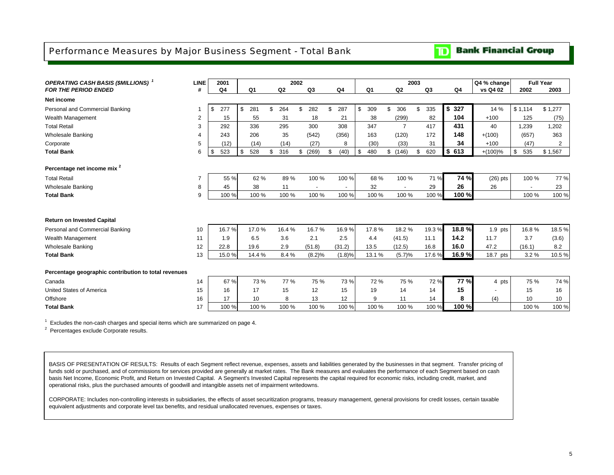## <span id="page-6-0"></span>Performance Measures by Major Business Segment - Total Bank

#### **Bank Financial Group** וסד

| <b>OPERATING CASH BASIS (\$MILLIONS)</b> <sup>1</sup> | <b>LINE</b> | 2001      |                |                | 2002 |        |    |        |           |                | 2003 |                |                | Q4 % change |           | <b>Full Year</b> |
|-------------------------------------------------------|-------------|-----------|----------------|----------------|------|--------|----|--------|-----------|----------------|------|----------------|----------------|-------------|-----------|------------------|
| <b>FOR THE PERIOD ENDED</b>                           | #           | Q4        | Q <sub>1</sub> | Q <sub>2</sub> | Q3   |        |    | Q4     | Q1        | Q2             |      | Q <sub>3</sub> | Q <sub>4</sub> | vs Q4 02    | 2002      | 2003             |
| Net income                                            |             |           |                |                |      |        |    |        |           |                |      |                |                |             |           |                  |
| Personal and Commercial Banking                       |             | \$<br>277 | \$<br>281      | \$<br>264      | \$   | 282    | \$ | 287    | \$<br>309 | \$<br>306      | \$   | 335            | \$327          | 14 %        | \$1,114   | \$1,277          |
| Wealth Management                                     | 2           | 15        | 55             | 31             |      | 18     |    | 21     | 38        | (299)          |      | 82             | 104            | $+100$      | 125       | (75)             |
| <b>Total Retail</b>                                   | 3           | 292       | 336            | 295            |      | 300    |    | 308    | 347       | $\overline{7}$ |      | 417            | 431            | 40          | 1,239     | 1,202            |
| <b>Wholesale Banking</b>                              | 4           | 243       | 206            | 35             |      | (542)  |    | (356)  | 163       | (120)          |      | 172            | 148            | $+(100)$    | (657)     | 363              |
| Corporate                                             | 5           | (12)      | (14)           | (14)           |      | (27)   |    | 8      | (30)      | (33)           |      | 31             | 34             | $+100$      | (47)      | 2                |
| <b>Total Bank</b>                                     | 6           | \$<br>523 | \$<br>528      | \$<br>316      | \$   | (269)  | £. | (40)   | \$<br>480 | \$(146)        | \$   | 620            | \$613          | $+(100)\%$  | \$<br>535 | \$1,567          |
|                                                       |             |           |                |                |      |        |    |        |           |                |      |                |                |             |           |                  |
| Percentage net income mix <sup>2</sup>                |             |           |                |                |      |        |    |        |           |                |      |                |                |             |           |                  |
| <b>Total Retail</b>                                   | 7           | 55 %      | 62 %           | 89%            |      | 100 %  |    | 100 %  | 68 %      | 100 %          |      | 71%            | 74 %           | $(26)$ pts  | 100 %     | 77 %             |
| <b>Wholesale Banking</b>                              | 8           | 45        | 38             | 11             |      |        |    |        | 32        |                |      | 29             | 26             | 26          |           | 23               |
| <b>Total Bank</b>                                     | 9           | 100 %     | 100 %          | 100 %          |      | 100 %  |    | 100 %  | 100 %     | 100 %          |      | 100 %          | 100 %          |             | 100 %     | 100 %            |
|                                                       |             |           |                |                |      |        |    |        |           |                |      |                |                |             |           |                  |
|                                                       |             |           |                |                |      |        |    |        |           |                |      |                |                |             |           |                  |
| <b>Return on Invested Capital</b>                     |             |           |                |                |      |        |    |        |           |                |      |                |                |             |           |                  |
| Personal and Commercial Banking                       | 10          | 16.7%     | 17.0%          | 16.4%          |      | 16.7%  |    | 16.9%  | 17.8%     | 18.2%          |      | 19.3%          | 18.8%          | $1.9$ pts   | 16.8%     | 18.5%            |
| Wealth Management                                     | 11          | 1.9       | 6.5            | 3.6            |      | 2.1    |    | 2.5    | 4.4       | (41.5)         |      | 11.1           | 14.2           | 11.7        | 3.7       | (3.6)            |
| <b>Wholesale Banking</b>                              | 12          | 22.8      | 19.6           | 2.9            |      | (51.8) |    | (31.2) | 13.5      | (12.5)         |      | 16.8           | 16.0           | 47.2        | (16.1)    | 8.2              |
| <b>Total Bank</b>                                     | 13          | 15.0%     | 14.4 %         | 8.4 %          |      | (8.2)% |    | (1.8)% | 13.1 %    | (5.7)%         |      | 17.6%          | 16.9 %         | 18.7 pts    | 3.2%      | 10.5%            |
|                                                       |             |           |                |                |      |        |    |        |           |                |      |                |                |             |           |                  |
| Percentage geographic contribution to total revenues  |             |           |                |                |      |        |    |        |           |                |      |                |                |             |           |                  |
| Canada                                                | 14          | 67 %      | 73 %           | 77 %           |      | 75 %   |    | 73 %   | 72 %      | 75 %           |      | 72 %           | <b>77%</b>     | 4 pts       | 75 %      | 74 %             |
| <b>United States of America</b>                       | 15          | 16        | 17             | 15             |      | 12     |    | 15     | 19        | 14             |      | 14             | 15             |             | 15        | 16               |
| Offshore                                              | 16          | 17        | 10             | 8              |      | 13     |    | 12     | 9         | 11             |      | 14             | 8              | (4)         | 10        | 10               |
| <b>Total Bank</b>                                     | 17          | 100 %     | 100 %          | 100%           |      | 100 %  |    | 100 %  | 100 %     | 100 %          |      | 100 %          | 100 %          |             | 100 %     | 100 %            |

 $1$  Excludes the non-cash charges and special items which are summarized on page 4.

<sup>2</sup> Percentages exclude Corporate results.

BASIS OF PRESENTATION OF RESULTS: Results of each Segment reflect revenue, expenses, assets and liabilities generated by the businesses in that segment. Transfer pricing of funds sold or purchased, and of commissions for services provided are generally at market rates. The Bank measures and evaluates the performance of each Segment based on cash basis Net Income, Economic Profit, and Return on Invested Capital. A Segment's Invested Capital represents the capital required for economic risks, including credit, market, and operational risks, plus the purchased amounts of goodwill and intangible assets net of impairment writedowns.

CORPORATE: Includes non-controlling interests in subsidiaries, the effects of asset securitization programs, treasury management, general provisions for credit losses, certain taxable equivalent adjustments and corporate level tax benefits, and residual unallocated revenues, expenses or taxes.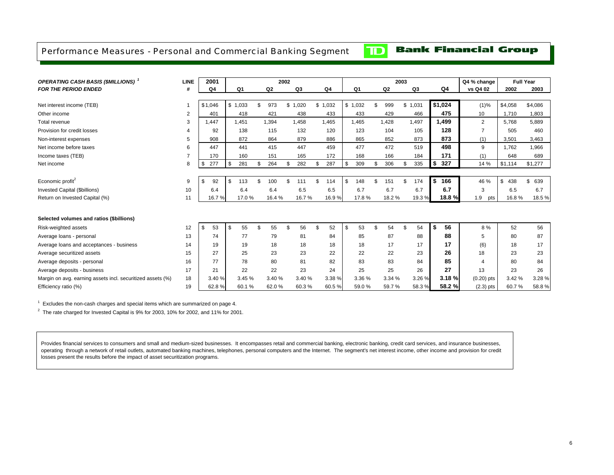### <span id="page-7-0"></span>Performance Measures - Personal and Commercial Banking Segment

 $\mathbf{D}$ 

## **Bank Financial Group**

| <b>OPERATING CASH BASIS (\$MILLIONS)</b> <sup>1</sup>      | <b>LINE</b>    | 2001           |                |    |                | 2002 |        |    |         |                |                | 2003 |         |    |         | Q4 % change    | <b>Full Year</b>   |           |
|------------------------------------------------------------|----------------|----------------|----------------|----|----------------|------|--------|----|---------|----------------|----------------|------|---------|----|---------|----------------|--------------------|-----------|
| FOR THE PERIOD ENDED                                       | #              | Q <sub>4</sub> | Q <sub>1</sub> |    | Q <sub>2</sub> |      | Q3     |    | Q4      | Q <sub>1</sub> | Q <sub>2</sub> |      | Q3      |    | Q4      | vs Q4 02       | 2002               | 2003      |
|                                                            |                |                |                |    |                |      |        |    |         |                |                |      |         |    |         |                |                    |           |
| Net interest income (TEB)                                  |                | \$1,046        | \$1,033        | \$ | 973            | \$   | 1,020  |    | \$1,032 | \$1,032        | \$<br>999      |      | \$1,031 |    | \$1,024 | (1)%           | \$4,058            | \$4,086   |
| Other income                                               | $\overline{2}$ | 401            | 418            |    | 421            |      | 438    |    | 433     | 433            | 429            |      | 466     |    | 475     | 10             | 1,710              | 1,803     |
| Total revenue                                              | 3              | 1.447          | 1.451          |    | 1.394          |      | 1.458  |    | 1.465   | 1.465          | 1.428          |      | 1.497   |    | 1.499   | $\overline{2}$ | 5.768              | 5,889     |
| Provision for credit losses                                | $\overline{4}$ | 92             | 138            |    | 115            |      | 132    |    | 120     | 123            | 104            |      | 105     |    | 128     | $\overline{7}$ | 505                | 460       |
| Non-interest expenses                                      | 5              | 908            | 872            |    | 864            |      | 879    |    | 886     | 865            | 852            |      | 873     |    | 873     | (1)            | 3,501              | 3,463     |
| Net income before taxes                                    | 6              | 447            | 441            |    | 415            |      | 447    |    | 459     | 477            | 472            |      | 519     |    | 498     | 9              | 1.762              | 1,966     |
| Income taxes (TEB)                                         | $\overline{7}$ | 170            | 160            |    | 151            |      | 165    |    | 172     | 168            | 166            |      | 184     |    | 171     | (1)            | 648                | 689       |
| Net income                                                 | 8              | 277<br>\$      | \$<br>281      | \$ | 264            | £.   | 282    | \$ | 287     | \$<br>309      | \$<br>306      | \$   | 335     | \$ | 327     | 14 %           | \$1,114            | \$1,277   |
|                                                            |                |                |                |    |                |      |        |    |         |                |                |      |         |    |         |                |                    |           |
| Economic profit <sup>2</sup>                               | 9              | 92<br>\$       | \$<br>113      | £. | 100            | £.   | 111    | £. | 114     | \$<br>148      | \$<br>151      | \$   | 174     | S  | 166     | 46 %           | . <b>\$</b><br>438 | \$<br>639 |
| Invested Capital (\$billions)                              | 10             | 6.4            | 6.4            |    | 6.4            |      | 6.5    |    | 6.5     | 6.7            | 6.7            |      | 6.7     |    | 6.7     | 3              | 6.5                | 6.7       |
| Return on Invested Capital (%)                             | 11             | 16.7%          | 17.0%          |    | 16.4%          |      | 16.7%  |    | 16.9%   | 17.8%          | 18.2 %         |      | 19.3%   |    | 18.8%   | 1.9<br>pts     | 16.8%              | 18.5%     |
|                                                            |                |                |                |    |                |      |        |    |         |                |                |      |         |    |         |                |                    |           |
| Selected volumes and ratios (\$billions)                   |                |                |                |    |                |      |        |    |         |                |                |      |         |    |         |                |                    |           |
| Risk-weighted assets                                       | 12             | \$<br>53       | \$<br>55       | \$ | 55             | £.   | 56     | \$ | 52      | \$<br>53       | \$<br>54       | \$   | 54      | S  | 56      | 8 %            | 52                 | 56        |
| Average loans - personal                                   | 13             | 74             | 77             |    | 79             |      | 81     |    | 84      | 85             | 87             |      | 88      |    | 88      | 5              | 80                 | 87        |
| Average loans and acceptances - business                   | 14             | 19             | 19             |    | 18             |      | 18     |    | 18      | 18             | 17             |      | 17      |    | 17      | (6)            | 18                 | 17        |
| Average securitized assets                                 | 15             | 27             | 25             |    | 23             |      | 23     |    | 22      | 22             | 22             |      | 23      |    | 26      | 18             | 23                 | 23        |
| Average deposits - personal                                | 16             | 77             | 78             |    | 80             |      | 81     |    | 82      | 83             | 83             |      | 84      |    | 85      | $\overline{4}$ | 80                 | 84        |
| Average deposits - business                                | 17             | 21             | 22             |    | 22             |      | 23     |    | 24      | 25             | 25             |      | 26      |    | 27      | 13             | 23                 | 26        |
| Margin on avg. earning assets incl. securitized assets (%) | 18             | 3.40 %         | 3.45 %         |    | 3.40 %         |      | 3.40 % |    | 3.38 %  | 3.36 %         | 3.34 %         |      | 3.26 %  |    | 3.18%   | $(0.20)$ pts   | 3.42 %             | 3.28%     |
| Efficiency ratio (%)                                       | 19             | 62.8%          | 60.1%          |    | 62.0%          |      | 60.3%  |    | 60.5%   | 59.0%          | 59.7%          |      | 58.3%   |    | 58.2%   | $(2.3)$ pts    | 60.7%              | 58.8%     |

 $1$  Excludes the non-cash charges and special items which are summarized on page 4.

 $2$  The rate charged for Invested Capital is 9% for 2003, 10% for 2002, and 11% for 2001.

Provides financial services to consumers and small and medium-sized businesses. It encompasses retail and commercial banking, electronic banking, credit card services, and insurance businesses, operating through a network of retail outlets, automated banking machines, telephones, personal computers and the Internet. The segment's net interest income, other income and provision for credit losses present the results before the impact of asset securitization programs.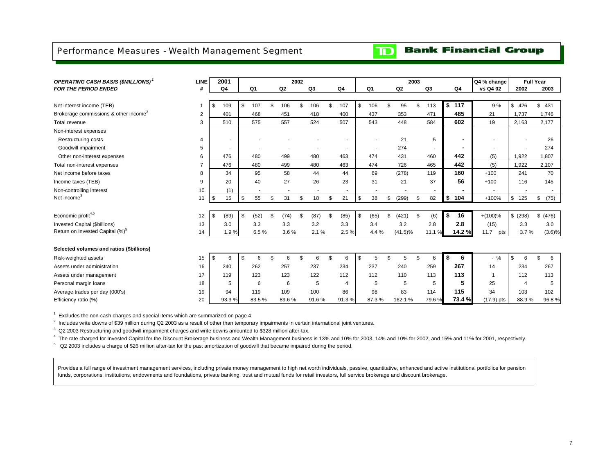## <span id="page-8-0"></span>Performance Measures - Wealth Management Segment

## **Bank Financial Group**

 $\mathbf{D}$ 

| <b>OPERATING CASH BASIS (\$MILLIONS)</b> <sup>1</sup> | <b>LINE</b>    | 2001       |                          |                          | 2002 |       |                |                          |                | 2003           |                          |            |                | Q4 % change        |           | <b>Full Year</b> |
|-------------------------------------------------------|----------------|------------|--------------------------|--------------------------|------|-------|----------------|--------------------------|----------------|----------------|--------------------------|------------|----------------|--------------------|-----------|------------------|
| <b>FOR THE PERIOD ENDED</b>                           | #              | Q4         | Q1                       | Q <sub>2</sub>           |      | Q3    | Q <sub>4</sub> | Q1                       | Q <sub>2</sub> |                | Q3                       |            | Q4             | vs Q4 02           | 2002      | 2003             |
|                                                       |                |            |                          |                          |      |       |                |                          |                |                |                          |            |                |                    |           |                  |
| Net interest income (TEB)                             |                | \$<br>109  | \$<br>107                | \$<br>106                | \$   | 106   | \$<br>107      | \$<br>106                | 95             | $\mathfrak{L}$ | 113                      | \$         | 117            | 9%                 | \$<br>426 | \$<br>431        |
| Brokerage commissions & other income <sup>2</sup>     | $\overline{2}$ | 401        | 468                      | 451                      |      | 418   | 400            | 437                      | 353            |                | 471                      |            | 485            | 21                 | 1,737     | 1,746            |
| Total revenue                                         | 3              | 510        | 575                      | 557                      |      | 524   | 507            | 543                      | 448            |                | 584                      |            | 602            | 19                 | 2,163     | 2,177            |
| Non-interest expenses                                 |                |            |                          |                          |      |       |                |                          |                |                |                          |            |                |                    |           |                  |
| <b>Restructuring costs</b>                            | 4              | ٠          |                          |                          |      |       |                |                          | 21             |                | 5                        |            | $\blacksquare$ |                    |           | 26               |
| Goodwill impairment                                   | 5              |            |                          |                          |      |       |                |                          | 274            |                | $\overline{\phantom{a}}$ |            | ۰              |                    |           | 274              |
| Other non-interest expenses                           | 6              | 476        | 480                      | 499                      |      | 480   | 463            | 474                      | 431            |                | 460                      |            | 442            | (5)                | 1,922     | 1,807            |
| Total non-interest expenses                           |                | 476        | 480                      | 499                      |      | 480   | 463            | 474                      | 726            |                | 465                      |            | 442            | (5)                | 1,922     | 2,107            |
| Net income before taxes                               | 8              | 34         | 95                       | 58                       |      | 44    | 44             | 69                       | (278)          |                | 119                      |            | 160            | $+100$             | 241       | 70               |
| Income taxes (TEB)                                    | 9              | 20         | 40                       | 27                       |      | 26    | 23             | 31                       | 21             |                | 37                       |            | 56             | $+100$             | 116       | 145              |
| Non-controlling interest                              | 10             | (1)        | $\overline{\phantom{a}}$ | $\overline{\phantom{a}}$ |      | ٠     | $\sim$         | $\overline{\phantom{a}}$ |                |                | $\sim$                   |            |                |                    |           |                  |
| Net income <sup>3</sup>                               | 11             | \$<br>15   | \$<br>55                 | \$<br>31                 | \$   | 18    | \$<br>21       | \$<br>38                 | \$<br>(299)    | \$             | 82                       | $\sqrt{2}$ | 104            | +100%              | \$<br>125 | (75)<br>\$       |
|                                                       |                |            |                          |                          |      |       |                |                          |                |                |                          |            |                |                    |           |                  |
| Economic profit <sup>4,5</sup>                        | 12             | \$<br>(89) | \$<br>(52)               | \$<br>(74)               | \$   | (87)  | \$<br>(85)     | \$<br>(65)               | \$<br>(421)    | \$             | (6)                      | \$         | 16             | $+(100)\%$         | \$(298)   | \$ (476)         |
| Invested Capital (\$billions)                         | 13             | 3.0        | 3.3                      | 3.3                      |      | 3.2   | 3.3            | 3.4                      | 3.2            |                | 2.8                      |            | 2.8            | (15)               | 3.3       | 3.0              |
| Return on Invested Capital (%) <sup>5</sup>           | 14             | 1.9%       | 6.5%                     | 3.6%                     |      | 2.1%  | 2.5 %          | 4.4 %                    | $(41.5)\%$     |                | 11.1<br>$\frac{1}{2}$    |            | 14.2%          | 11.7<br>pts        | 3.7%      | $(3.6)\%$        |
|                                                       |                |            |                          |                          |      |       |                |                          |                |                |                          |            |                |                    |           |                  |
| Selected volumes and ratios (\$billions)              |                |            |                          |                          |      |       |                |                          |                |                |                          |            |                |                    |           |                  |
| Risk-weighted assets                                  | 15             | \$<br>6    | \$<br>6                  | \$<br>6                  | \$   | 6     | \$<br>6        | \$<br>5                  | \$<br>5        | $\mathfrak{L}$ | 6                        | \$         | 6              | $\frac{0}{0}$<br>٠ | \$<br>6   | \$<br>6          |
| Assets under administration                           | 16             | 240        | 262                      | 257                      |      | 237   | 234            | 237                      | 240            |                | 259                      |            | 267            | 14                 | 234       | 267              |
| Assets under management                               | 17             | 119        | 123                      | 123                      |      | 122   | 112            | 112                      | 110            |                | 113                      |            | 113            | $\overline{1}$     | 112       | 113              |
| Personal margin loans                                 | 18             | 5          | 6                        | 6                        |      | 5     | $\overline{4}$ | 5                        | 5              |                | 5                        |            | 5              | 25                 | $\Delta$  | 5                |
| Average trades per day (000's)                        | 19             | 94         | 119                      | 109                      |      | 100   | 86             | 98                       | 83             |                | 114                      |            | 115            | 34                 | 103       | 102              |
| Efficiency ratio (%)                                  | 20             | 93.3%      | 83.5%                    | 89.6%                    |      | 91.6% | 91.3%          | 87.3%                    | 162.1%         |                | 79.6%                    |            | 73.4%          | $(17.9)$ pts       | 88.9%     | 96.8%            |

 $1$  Excludes the non-cash charges and special items which are summarized on page 4.

 $2$  Includes write downs of \$39 million during Q2 2003 as a result of other than temporary impairments in certain international joint ventures.

 $3\,$  Q2 2003 Restructuring and goodwill impairment charges and write downs amounted to \$328 million after-tax.

4 The rate charged for Invested Capital for the Discount Brokerage business and Wealth Management business is 13% and 10% for 2003, 14% and 10% for 2002, and 15% and 11% for 2001, respectively.

 $5\text{ Q2 }$  2003 includes a charge of \$26 million after-tax for the past amortization of goodwill that became impaired during the period.

Provides a full range of investment management services, including private money management to high net worth individuals, passive, quantitative, enhanced and active institutional portfolios for pension funds, corporations, institutions, endowments and foundations, private banking, trust and mutual funds for retail investors, full service brokerage and discount brokerage.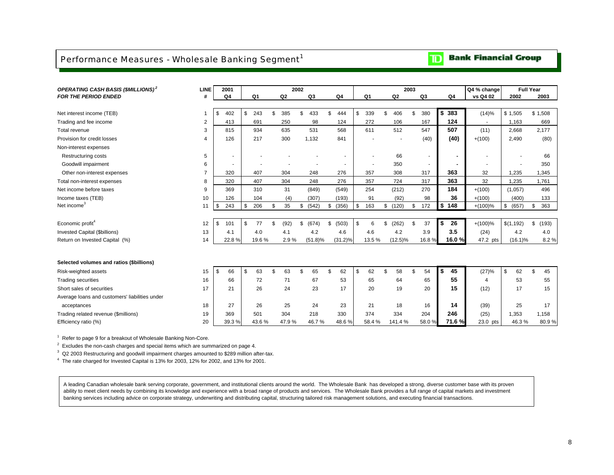## <span id="page-9-0"></span>Performance Measures - Wholesale Banking Segment<sup>1</sup>

## **Bank Financial Group**

| <b>OPERATING CASH BASIS (\$MILLIONS)<sup>2</sup></b> | <b>LINE</b>    | 2001           |           |    |                | 2002        |    |            |    |                |                | 2003 |                          |           | Q4 % change |             | <b>Full Year</b> |
|------------------------------------------------------|----------------|----------------|-----------|----|----------------|-------------|----|------------|----|----------------|----------------|------|--------------------------|-----------|-------------|-------------|------------------|
| <b>FOR THE PERIOD ENDED</b>                          | #              | Q <sub>4</sub> | Q1        |    | Q <sub>2</sub> | Q3          |    | Q4         |    | Q <sub>1</sub> | Q <sub>2</sub> |      | Q3                       | Q4        | vs Q4 02    | 2002        | 2003             |
|                                                      |                |                |           |    |                |             |    |            |    |                |                |      |                          |           |             |             |                  |
| Net interest income (TEB)                            | $\mathbf 1$    | \$<br>402      | \$<br>243 |    | 385            | 433<br>\$.  | \$ | 444        | \$ | 339            | \$<br>406      | \$   | 380                      | \$<br>383 | (14)%       | \$1,505     | \$1,508          |
| Trading and fee income                               | 2              | 413            | 691       |    | 250            | 98          |    | 124        |    | 272            | 106            |      | 167                      | 124       |             | 1,163       | 669              |
| Total revenue                                        | 3              | 815            | 934       |    | 635            | 531         |    | 568        |    | 611            | 512            |      | 547                      | 507       | (11)        | 2,668       | 2,177            |
| Provision for credit losses                          | 4              | 126            | 217       |    | 300            | 1,132       |    | 841        |    |                |                |      | (40)                     | (40)      | $+(100)$    | 2,490       | (80)             |
| Non-interest expenses                                |                |                |           |    |                |             |    |            |    |                |                |      |                          |           |             |             |                  |
| <b>Restructuring costs</b>                           | 5              | $\sim$         |           |    |                |             |    |            |    |                | 66             |      | $\overline{\phantom{a}}$ |           |             |             | 66               |
| Goodwill impairment                                  | 6              | $\blacksquare$ |           |    |                |             |    |            |    |                | 350            |      | $\overline{\phantom{a}}$ |           |             |             | 350              |
| Other non-interest expenses                          | $\overline{7}$ | 320            | 407       |    | 304            | 248         |    | 276        |    | 357            | 308            |      | 317                      | 363       | 32          | 1,235       | 1,345            |
| Total non-interest expenses                          | 8              | 320            | 407       |    | 304            | 248         |    | 276        |    | 357            | 724            |      | 317                      | 363       | 32          | 1,235       | 1,761            |
| Net income before taxes                              | 9              | 369            | 310       |    | 31             | (849)       |    | (549)      |    | 254            | (212)          |      | 270                      | 184       | $+(100)$    | (1,057)     | 496              |
| Income taxes (TEB)                                   | 10             | 126            | 104       |    | (4)            | (307)       |    | (193)      |    | 91             | (92)           |      | 98                       | 36        | $+(100)$    | (400)       | 133              |
| Net income <sup>3</sup>                              | 11             | \$<br>243      | \$<br>206 | \$ | 35             | \$<br>(542) | \$ | (356)      | \$ | 163            | \$(120)        | \$   | 172                      | \$<br>148 | $+(100)%$   | \$<br>(657) | \$<br>363        |
|                                                      |                |                |           |    |                |             |    |            |    |                |                |      |                          |           |             |             |                  |
| Economic profit <sup>4</sup>                         | 12             | \$<br>101      | \$<br>77  | £. | (92)           | (674)<br>\$ | \$ | (503)      | \$ | 6              | \$<br>(262)    | \$   | 37                       | \$<br>26  | $+(100)%$   | \$(1,192)   | \$<br>(193)      |
| Invested Capital (\$billions)                        | 13             | 4.1            | 4.0       |    | 4.1            | 4.2         |    | 4.6        |    | 4.6            | 4.2            |      | 3.9                      | 3.5       | (24)        | 4.2         | 4.0              |
| Return on Invested Capital (%)                       | 14             | 22.8%          | 19.6%     |    | 2.9%           | $(51.8)\%$  |    | $(31.2)\%$ |    | 13.5 %         | $(12.5)\%$     |      | 16.8%                    | 16.0%     | 47.2 pts    | $(16.1)\%$  | 8.2%             |
|                                                      |                |                |           |    |                |             |    |            |    |                |                |      |                          |           |             |             |                  |
|                                                      |                |                |           |    |                |             |    |            |    |                |                |      |                          |           |             |             |                  |
| Selected volumes and ratios (\$billions)             |                |                |           |    |                |             |    |            |    |                |                |      |                          |           |             |             |                  |
| Risk-weighted assets                                 | 15             | \$<br>66       | \$<br>63  |    | 63             | \$<br>65    | £. | 62         | £. | 62             | \$<br>58       | \$.  | 54                       | \$<br>45  | (27)%       | \$<br>62    | \$<br>45         |
| <b>Trading securities</b>                            | 16             | 66             | 72        |    | 71             | 67          |    | 53         |    | 65             | 64             |      | 65                       | 55        | 4           | 53          | 55               |
| Short sales of securities                            | 17             | 21             | 26        |    | 24             | 23          |    | 17         |    | 20             | 19             |      | 20                       | 15        | (12)        | 17          | 15               |
| Average loans and customers' liabilities under       |                |                |           |    |                |             |    |            |    |                |                |      |                          |           |             |             |                  |
| acceptances                                          | 18             | 27             | 26        |    | 25             | 24          |    | 23         |    | 21             | 18             |      | 16                       | 14        | (39)        | 25          | 17               |
| Trading related revenue (\$millions)                 | 19             | 369            | 501       |    | 304            | 218         |    | 330        |    | 374            | 334            |      | 204                      | 246       | (25)        | 1,353       | 1,158            |
| Efficiency ratio (%)                                 | 20             | 39.3%          | 43.6%     |    | 47.9%          | 46.7%       |    | 48.6%      |    | 58.4%          | 141.4%         |      | 58.0%                    | 71.6 %    | 23.0 pts    | 46.3%       | 80.9%            |

<sup>1</sup> Refer to page 9 for a breakout of Wholesale Banking Non-Core.

 $2$  Excludes the non-cash charges and special items which are summarized on page 4.

 $3\,$  Q2 2003 Restructuring and goodwill impairment charges amounted to \$289 million after-tax.

 $4$  The rate charged for Invested Capital is 13% for 2003, 12% for 2002, and 13% for 2001.

A leading Canadian wholesale bank serving corporate, government, and institutional clients around the world. The Wholesale Bank has developed a strong, diverse customer base with its proven ability to meet client needs by combining its knowledge and experience with a broad range of products and services. The Wholesale Bank provides a full range of capital markets and investment banking services including advice on corporate strategy, underwriting and distributing capital, structuring tailored risk management solutions, and executing financial transactions.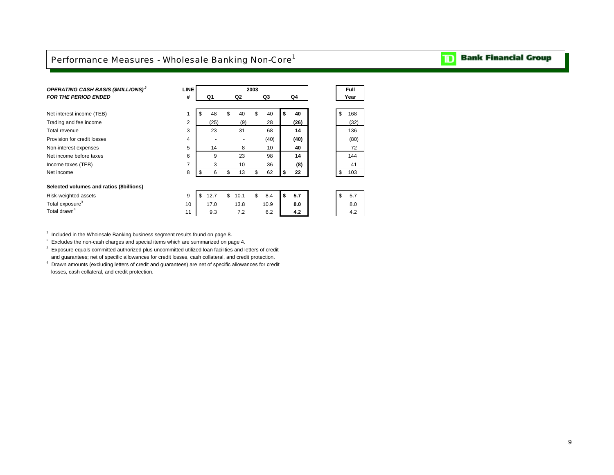## <span id="page-10-0"></span>Performance Measures - Wholesale Banking Non-Core<sup>1</sup>

### *OPERATING CASH BASIS (\$MILLIONS) <sup>2</sup>***LINE 2003 Full** *FOR THE PERIOD ENDED* **# Q1 Q2 Q3 Q4 Year** Net interest income (TEB) 1 \$ 48 \$ 40 \$ 40 **\$ 40** \$ 168 Trading and fee income 2 (25) (9) 28 **(26)** (32) Total revenue 3 23 31 68 **14** 136 **Provision for credit losses** 4 - (40) **(40)** (80) **(40)** (80) Non-interest expenses 5 14 8 10 **40** 72 Net income before taxes **144 144 144 144 144 144 144** Income taxes (TEB) 7 3 10 36 **(8)** 41 Net income 8 \$ 6 \$ 13 \$ 62 **\$ 22** \$ 103 **Selected volumes and ratios (\$billions)** Risk-weighted assets **12.7 \$ 10.1** \$ 8.4 **\$ 5.7 \$ 5.7 \$ 5.7 \$ 5.7** Total exposure<sup>3</sup> 10 17.0 13.8 10.9 **8.0** 8.0 Total drawn<sup>4</sup> 11 9.3 7.2 6.2 **4.2** 4.2

 $1$  Included in the Wholesale Banking business segment results found on page 8.

 $2$  Excludes the non-cash charges and special items which are summarized on page 4.

 $3$  Exposure equals committed authorized plus uncommitted utilized loan facilities and letters of credit and guarantees; net of specific allowances for credit losses, cash collateral, and credit protection.

4 Drawn amounts (excluding letters of credit and guarantees) are net of specific allowances for credit losses, cash collateral, and credit protection.

#### **Bank Financial Group**  $\mathbf{D}$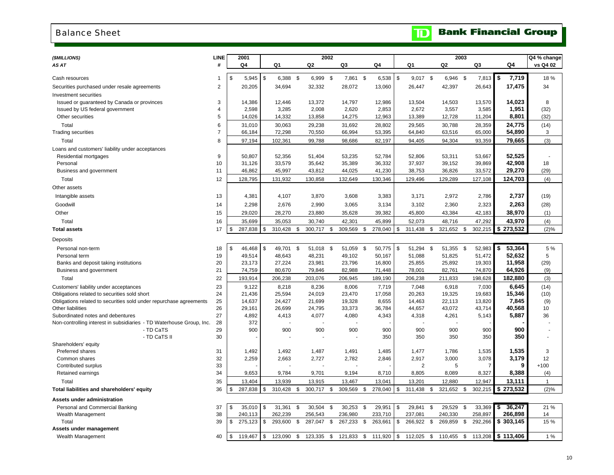## <span id="page-11-0"></span>Balance Sheet

# **TD** Bank Financial Group

| (\$MILLIONS)                                                                           | LINE                | 2001             |               |                   |                  | 2002 |                   |      |                   |                             |                         | 2003     |                   |      |                     | Q4 % change  |
|----------------------------------------------------------------------------------------|---------------------|------------------|---------------|-------------------|------------------|------|-------------------|------|-------------------|-----------------------------|-------------------------|----------|-------------------|------|---------------------|--------------|
| AS AT                                                                                  | #                   | Q <sub>4</sub>   |               | Q1                | Q <sub>2</sub>   |      | Q3                |      | Q4                | Q1                          | Q <sub>2</sub>          |          | Q3                |      | Q4                  | vs Q4 02     |
|                                                                                        |                     |                  |               |                   |                  |      |                   |      |                   |                             |                         |          |                   |      |                     |              |
| Cash resources                                                                         | 1                   | \$<br>5,945      | $\sqrt[6]{2}$ | $6,388$ \$        | 6,999 \$         |      | 7,861 \$          |      | 6,538             | \$<br>$9,017$ \$            | 6,946 \$                |          | 7,813             | l \$ | 7,719               | 18%          |
| Securities purchased under resale agreements                                           | $\overline{2}$      | 20,205           |               | 34,694            | 32,332           |      | 28,072            |      | 13,060            | 26,447                      | 42,397                  |          | 26,643            |      | 17,475              | 34           |
| Investment securities                                                                  |                     |                  |               |                   |                  |      |                   |      |                   |                             |                         |          |                   |      |                     |              |
| Issued or guaranteed by Canada or provinces                                            | 3                   | 14,386           |               | 12,446            | 13,372           |      | 14,797            |      | 12,986            | 13,504                      | 14,503                  |          | 13,570            |      | 14,023              | 8            |
| Issued by US federal government                                                        | 4                   | 2,598            |               | 3,285             | 2,008            |      | 2,620             |      | 2,853             | 2,672                       | 3,557                   |          | 3,585             |      | 1,951               | (32)         |
| Other securities                                                                       | 5                   | 14,026           |               | 14,332            | 13,858           |      | 14,275            |      | 12,963            | 13,389                      | 12,728                  |          | 11,204            |      | 8,801               | (32)         |
| Total<br><b>Trading securities</b>                                                     | 6<br>$\overline{7}$ | 31,010<br>66,184 |               | 30,063<br>72,298  | 29,238<br>70,550 |      | 31,692<br>66,994  |      | 28,802<br>53,395  | 29,565<br>64,840            | 30,788<br>63,516        |          | 28,359<br>65,000  |      | 24,775<br>54,890    | (14)<br>3    |
|                                                                                        | 8                   |                  |               |                   |                  |      |                   |      |                   |                             |                         |          |                   |      | 79,665              |              |
| Total                                                                                  |                     | 97,194           |               | 102,361           | 99,788           |      | 98,686            |      | 82,197            | 94,405                      | 94,304                  |          | 93,359            |      |                     | (3)          |
| Loans and customers' liability under acceptances                                       | 9                   | 50,807           |               | 52,356            | 51,404           |      | 53,235            |      | 52,784            | 52,806                      | 53,311                  |          | 53,667            |      | 52,525              |              |
| Residential mortgages<br>Personal                                                      | 10                  | 31,126           |               | 33,579            | 35,642           |      | 35,389            |      | 36,332            | 37,937                      | 39,152                  |          | 39,869            |      | 42,908              | 18           |
| Business and government                                                                | 11                  | 46,862           |               | 45,997            | 43,812           |      | 44,025            |      | 41,230            | 38,753                      | 36,826                  |          | 33,572            |      | 29,270              | (29)         |
| Total                                                                                  | 12                  | 128,795          |               | 131,932           | 130,858          |      | 132,649           |      | 130,346           | 129,496                     | 129,289                 |          | 127,108           |      | 124,703             | (4)          |
| Other assets                                                                           |                     |                  |               |                   |                  |      |                   |      |                   |                             |                         |          |                   |      |                     |              |
| Intangible assets                                                                      | 13                  | 4,381            |               | 4,107             | 3,870            |      | 3,608             |      | 3,383             | 3,171                       | 2,972                   |          | 2,786             |      | 2,737               | (19)         |
| Goodwill                                                                               | 14                  | 2,298            |               | 2,676             | 2,990            |      | 3,065             |      | 3,134             | 3,102                       | 2,360                   |          | 2,323             |      | 2,263               | (28)         |
| Other                                                                                  | 15                  | 29,020           |               |                   | 23,880           |      | 35,628            |      |                   | 45,800                      |                         |          | 42,183            |      | 38,970              |              |
|                                                                                        |                     |                  |               | 28,270            |                  |      |                   |      | 39,382            |                             | 43,384                  |          |                   |      |                     | (1)          |
| Total<br><b>Total assets</b>                                                           | 16<br>17            | \$<br>35,699     | \$            | 35,053<br>310,428 | 30,740           |      | 42,301<br>309,569 |      | 45,899<br>278,040 | \$<br>52,073<br>311,438     | \$<br>48,716<br>321,652 |          | 47,292<br>302,215 |      | 43,970<br>\$273,532 | (4)          |
|                                                                                        |                     | 287,838          |               |                   | \$<br>300,717    | \$   |                   | \$   |                   |                             |                         | \$       |                   |      |                     | (2)%         |
| Deposits                                                                               |                     |                  |               |                   |                  |      |                   |      |                   |                             |                         |          |                   |      |                     |              |
| Personal non-term                                                                      | 18                  | \$<br>46,468     | \$            | 49,701            | \$<br>51,018     | \$   | 51,059            | - \$ | 50,775            | \$<br>51,294                | \$<br>51,355            | <b>S</b> | 52,983            | \$   | 53,364              | 5 %          |
| Personal term                                                                          | 19                  | 49,514           |               | 48,643            | 48,231           |      | 49,102            |      | 50,167            | 51,088                      | 51,825                  |          | 51,472            |      | 52,632              | 5            |
| Banks and deposit taking institutions                                                  | 20                  | 23,173           |               | 27,224            | 23,981           |      | 23,796            |      | 16,800            | 25,855                      | 25,892                  |          | 19,303            |      | 11,958              | (29)         |
| Business and government                                                                | 21                  | 74,759           |               | 80,670            | 79,846           |      | 82,988            |      | 71,448            | 78,001                      | 82,761                  |          | 74,870            |      | 64,926              | (9)          |
| Total                                                                                  | 22                  | 193,914          |               | 206,238           | 203,076          |      | 206,945           |      | 189,190           | 206,238                     | 211,833                 |          | 198,628           |      | 182,880             | (3)          |
| Customers' liability under acceptances<br>Obligations related to securities sold short | 23<br>24            | 9,122<br>21,436  |               | 8.218<br>25,594   | 8,236<br>24,019  |      | 8.006<br>23,470   |      | 7,719<br>17,058   | 7,048                       | 6,918                   |          | 7,030<br>19,683   |      | 6.645<br>15,346     | (14)         |
| Obligations related to securities sold under repurchase agreements                     | 25                  | 14,637           |               | 24,427            | 21.699           |      | 19,328            |      | 8,655             | 20,263<br>14,463            | 19,325<br>22,113        |          | 13,820            |      | 7,845               | (10)<br>(9)  |
| <b>Other liabilities</b>                                                               | 26                  | 29,161           |               | 26,699            | 24,795           |      | 33,373            |      | 36,784            | 44,657                      | 43,072                  |          | 43,714            |      | 40,568              | 10           |
| Subordinated notes and debentures                                                      | 27                  | 4,892            |               | 4,413             | 4,077            |      | 4,080             |      | 4,343             | 4,318                       | 4,261                   |          | 5,143             |      | 5,887               | 36           |
| Non-controlling interest in subsidiaries - TD Waterhouse Group, Inc.                   | 28                  | 372              |               |                   |                  |      |                   |      |                   |                             |                         |          |                   |      |                     |              |
| - TD CaTS                                                                              | 29                  | 900              |               | 900               | 900              |      | 900               |      | 900               | 900                         | 900                     |          | 900               |      | 900                 |              |
| - TD CaTS II                                                                           | 30                  |                  |               |                   |                  |      |                   |      | 350               | 350                         | 350                     |          | 350               |      | 350                 |              |
| Shareholders' equity                                                                   |                     |                  |               |                   |                  |      |                   |      |                   |                             |                         |          |                   |      |                     |              |
| <b>Preferred shares</b><br>Common shares                                               | 31<br>32            | 1,492<br>2,259   |               | 1,492<br>2,663    | 1,487<br>2,727   |      | 1,491<br>2,782    |      | 1,485<br>2,846    | 1,477<br>2,917              | 1,786<br>3,000          |          | 1,535<br>3,078    |      | 1,535<br>3,179      | 3<br>12      |
| Contributed surplus                                                                    | 33                  |                  |               |                   |                  |      |                   |      |                   | $\overline{2}$              | 5                       |          |                   |      | 9                   | $+100$       |
| Retained earnings                                                                      | 34                  | 9,653            |               | 9,784             | 9,701            |      | 9,194             |      | 8,710             | 8,805                       | 8,089                   |          | 8,327             |      | 8,388               | (4)          |
| Total                                                                                  | 35                  | 13,404           |               | 13,939            | 13,915           |      | 13,467            |      | 13,041            | 13,201                      | 12,880                  |          | 12,947            |      | 13,111              | $\mathbf{1}$ |
| Total liabilities and shareholders' equity                                             | 36                  | \$<br>287,838    | \$            | 310,428           | \$<br>300,717    | \$   | 309,569           | \$   | 278,040           | \$<br>311,438               | \$<br>321,652           | \$       | 302,215           |      | \$273,532           | (2)%         |
| Assets under administration                                                            |                     |                  |               |                   |                  |      |                   |      |                   |                             |                         |          |                   |      |                     |              |
| Personal and Commercial Banking                                                        | 37                  | \$<br>35,010     | \$            | 31,361            | \$<br>30,504     | \$   | 30,253            | \$   | 29,951            | \$<br>29,841                | \$<br>29,529            | \$       | 33,369            | -S   | 36,247              | 21 %         |
| Wealth Management                                                                      | 38                  | 240,113          |               | 262,239           | 256,543          |      | 236,980           |      | 233,710           | 237,081                     | 240,330                 |          | 258,897           |      | 266,898             | 14           |
| Total                                                                                  | 39                  | \$<br>275,123    | \$            | 293,600           | \$<br>287,047    | - \$ | 267,233           | - \$ | 263,661           | \$<br>266,922 \$            | 269,859                 | \$       | 292,266           |      | \$303,145           | 15 %         |
| Assets under management                                                                |                     |                  |               |                   |                  |      |                   |      |                   |                             |                         |          |                   |      |                     |              |
| Wealth Management                                                                      | 40                  | \$<br>119,467    | \$            | 123,090           | \$<br>123,335    | - \$ | 121,833 \$        |      | 111,920           | \$<br>112,025 \$ 110,455 \$ |                         |          | 113,208           |      | \$113,406           | 1%           |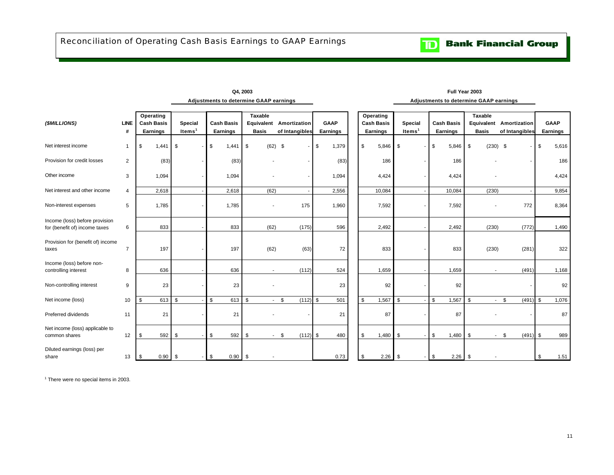<span id="page-12-0"></span>

|                                                                 |                  |                                                   |                      | Adjustments to determine GAAP earnings |                                |                                           |                  |                                            |                                      | Adjustments to determine GAAP earnings |                         |                                           |                         |       |
|-----------------------------------------------------------------|------------------|---------------------------------------------------|----------------------|----------------------------------------|--------------------------------|-------------------------------------------|------------------|--------------------------------------------|--------------------------------------|----------------------------------------|-------------------------|-------------------------------------------|-------------------------|-------|
| (\$MILLIONS)                                                    | <b>LINE</b><br># | Operating<br><b>Cash Basis</b><br><b>Earnings</b> | Special<br>Items $1$ | <b>Cash Basis</b><br>Earnings          | <b>Taxable</b><br><b>Basis</b> | Equivalent Amortization<br>of Intangibles | GAAP<br>Earnings | Operating<br><b>Cash Basis</b><br>Earnings | <b>Special</b><br>Items <sup>1</sup> | <b>Cash Basis</b><br>Earnings          | Taxable<br><b>Basis</b> | Equivalent Amortization<br>of Intangibles | <b>GAAP</b><br>Earnings |       |
| Net interest income                                             | -1               | $1,441$ \$<br>\$                                  |                      | $1,441$ \$<br>\$                       | $(62)$ \$                      |                                           | \$<br>1,379      | $5,846$ \$<br>\$                           |                                      | $5,846$ \$<br>\$                       | $(230)$ \$              |                                           | \$                      | 5,616 |
| Provision for credit losses                                     | 2                | (83)                                              |                      | (83)                                   |                                |                                           | (83)             | 186                                        |                                      | 186                                    |                         |                                           |                         | 186   |
| Other income                                                    | 3                | 1,094                                             |                      | 1,094                                  |                                |                                           | 1,094            | 4,424                                      |                                      | 4,424                                  |                         |                                           |                         | 4,424 |
| Net interest and other income                                   | $\overline{4}$   | 2,618                                             |                      | 2,618                                  | (62)                           |                                           | 2,556            | 10,084                                     |                                      | 10,084                                 | (230)                   |                                           |                         | 9,854 |
| Non-interest expenses                                           | 5                | 1,785                                             |                      | 1,785                                  |                                | 175                                       | 1,960            | 7,592                                      |                                      | 7,592                                  |                         | 772                                       |                         | 8,364 |
| Income (loss) before provision<br>for (benefit of) income taxes | 6                | 833                                               |                      | 833                                    | (62)                           | (175)                                     | 596              | 2,492                                      |                                      | 2,492                                  | (230)                   | (772)                                     |                         | 1,490 |
| Provision for (benefit of) income<br>taxes                      | $\overline{7}$   | 197                                               |                      | 197                                    | (62)                           | (63)                                      | 72               | 833                                        |                                      | 833                                    | (230)                   | (281)                                     |                         | 322   |
| Income (loss) before non-<br>controlling interest               | 8                | 636                                               |                      | 636                                    | $\overline{\phantom{a}}$       | (112)                                     | 524              | 1,659                                      |                                      | 1,659                                  |                         | (491)                                     |                         | 1,168 |
| Non-controlling interest                                        | 9                | 23                                                |                      | 23                                     |                                |                                           | 23               | 92                                         |                                      | 92                                     |                         |                                           |                         | 92    |
| Net income (loss)                                               | 10               | 613 \$<br>\$                                      |                      | \$<br>613                              | \$<br>$\sim$                   | \$<br>(112)                               | \$<br>501        | \$<br>1,567                                | \$                                   | 1,567<br>\$                            | \$                      | $-5$<br>(491)                             | \$                      | 1,076 |
| Preferred dividends                                             | 11               | 21                                                |                      | 21                                     |                                |                                           | 21               | 87                                         |                                      | 87                                     |                         |                                           |                         | 87    |
| Net income (loss) applicable to<br>common shares                | 12               | 592<br>\$                                         | \$                   | \$<br>592                              | \$<br>$\sim$                   | $(112)$ \$<br>\$                          | 480              | 1,480<br>\$                                | \$                                   | \$<br>1,480                            | \$<br>$\sim$            | \$<br>(491)                               | \$                      | 989   |
| Diluted earnings (loss) per<br>share                            | 13               | \$<br>$0.90$ \$                                   |                      | $-1$ \$<br>$0.90$ \$                   |                                |                                           | 0.73             | \$<br>$2.26$ \$                            | - 1                                  | \$                                     |                         |                                           | \$                      | 1.51  |

**Q4, 2003 Full Year 2003**

<sup>1</sup> There were no special items in 2003.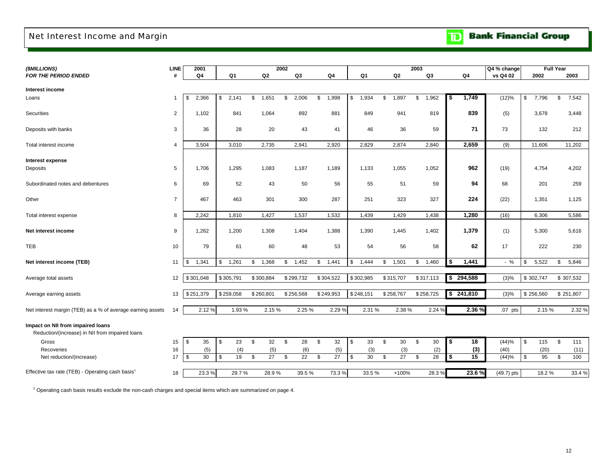## <span id="page-13-0"></span>Net Interest Income and Margin

**Bank Financial Group** 

| (\$MILLIONS)                                                                         | LINE           | 2001        |             |             | 2002        |             |                     |                     | 2003        |                     | Q4 % change  |             | <b>Full Year</b> |
|--------------------------------------------------------------------------------------|----------------|-------------|-------------|-------------|-------------|-------------|---------------------|---------------------|-------------|---------------------|--------------|-------------|------------------|
| <b>FOR THE PERIOD ENDED</b>                                                          | #              | Q4          | Q1          | Q2          | Q3          | Q4          | Q1                  | Q2                  | Q3          | Q4                  | vs Q4 02     | 2002        | 2003             |
|                                                                                      |                |             |             |             |             |             |                     |                     |             |                     |              |             |                  |
| Interest income                                                                      |                |             |             |             |             |             |                     |                     |             |                     |              |             |                  |
| Loans                                                                                | -1             | \$<br>2,366 | 2,141<br>\$ | 1,651<br>\$ | 2,006<br>\$ | 1,998<br>\$ | \$<br>1,934         | 1,897<br>\$         | \$<br>1,962 | 1,749<br>\$         | (12)%        | \$<br>7,796 | \$<br>7,542      |
| Securities                                                                           | 2              | 1,102       | 841         | 1,064       | 892         | 881         | 849                 | 941                 | 819         | 839                 | (5)          | 3,678       | 3,448            |
| Deposits with banks                                                                  | 3              | 36          | 28          | 20          | 43          | 41          | 46                  | 36                  | 59          | 71                  | 73           | 132         | 212              |
| Total interest income                                                                | 4              | 3,504       | 3,010       | 2,735       | 2,941       | 2,920       | 2,829               | 2,874               | 2,840       | 2,659               | (9)          | 11,606      | 11,202           |
| <b>Interest expense</b>                                                              |                |             |             |             |             |             |                     |                     |             |                     |              |             |                  |
| Deposits                                                                             | 5              | 1,706       | 1,295       | 1,083       | 1,187       | 1,189       | 1,133               | 1,055               | 1,052       | 962                 | (19)         | 4,754       | 4,202            |
| Subordinated notes and debentures                                                    | 6              | 69          | 52          | 43          | 50          | 56          | 55                  | 51                  | 59          | 94                  | 68           | 201         | 259              |
| Other                                                                                | $\overline{7}$ | 467         | 463         | 301         | 300         | 287         | 251                 | 323                 | 327         | 224                 | (22)         | 1,351       | 1,125            |
| Total interest expense                                                               | 8              | 2,242       | 1,810       | 1,427       | 1,537       | 1,532       | 1,439               | 1,429               | 1,438       | 1,280               | (16)         | 6,306       | 5,586            |
| Net interest income                                                                  | 9              | 1,262       | 1,200       | 1,308       | 1,404       | 1,388       | 1,390               | 1,445               | 1,402       | 1,379               | (1)          | 5,300       | 5,616            |
| <b>TEB</b>                                                                           | 10             | 79          | 61          | 60          | 48          | 53          | 54                  | 56                  | 58          | 62                  | 17           | 222         | 230              |
| Net interest income (TEB)                                                            | 11             | \$<br>1,341 | 1,261<br>\$ | 1,368<br>\$ | 1,452<br>\$ | \$<br>1,441 | \$<br>1,444         | \$<br>1,501         | 1,460<br>\$ | 1,441<br>\$         | $-$ %        | 5,522<br>\$ | 5,846<br>\$      |
| Average total assets                                                                 | 12             | \$301,048   | \$305,791   | \$300,884   | \$299,732   | \$304,522   | \$302,985           | \$315,707           | \$317,113   | \$294,588           | (3)%         | \$302,747   | \$307,532        |
| Average earning assets                                                               | 13             | \$251,379   | \$259,058   | \$260,801   | \$256,568   | \$249,953   | \$248,151           | \$258,767           | \$258,725   | $\frac{1}{241,810}$ | (3)%         | \$256,560   | \$251,807        |
| Net interest margin (TEB) as a % of average earning assets                           | 14             | 2.12%       | 1.93%       | 2.15%       | 2.25 %      | 2.29 %      | 2.31 %              | 2.38%               | 2.24%       | 2.36 %              | $.07$ pts    | 2.15 %      | 2.32 %           |
| Impact on NII from impaired loans<br>Reduction/(increase) in NII from impaired loans |                |             |             |             |             |             |                     |                     |             |                     |              |             |                  |
| Gross                                                                                | 15             | \$<br>35    | 23<br>\$    | 32<br>\$    | \$<br>28    | 32<br>\$    | \$<br>33            | $\sqrt[6]{3}$<br>30 | 30<br>\$    | \$<br>18            | (44)%        | \$<br>115   | \$<br>111        |
| Recoveries                                                                           | 16             | (5)         | (4)         | (5)         | (6)         | (5)         | (3)                 | (3)                 | (2)         | (3)                 | (40)         | (20)        | (11)             |
| Net reduction/(increase)                                                             | 17             | \$<br>30    | 19<br>\$    | 27<br>\$    | \$<br>22    | \$<br>27    | $\sqrt[6]{2}$<br>30 | \$<br>27            | 28<br>\$    | 15<br>\$            | (44)%        | \$<br>95    | \$<br>100        |
| Effective tax rate (TEB) - Operating cash basis <sup>1</sup>                         | 18             | 23.3%       | 29.7%       | 28.9%       | 39.5%       | 73.3 %      | 33.5%               | $+100%$             | 28.3%       | 23.6%               | $(49.7)$ pts | 18.2%       | 33.4 %           |

<sup>1</sup> Operating cash basis results exclude the non-cash charges and special items which are summarized on page 4.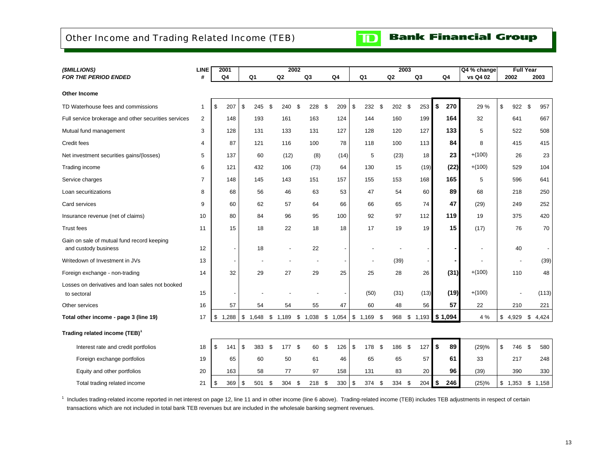## <span id="page-14-0"></span>Other Income and Trading Related Income (TEB)



## **Bank Financial Group**

| (\$MILLIONS)                                                       | <b>LINE</b>    | 2001<br>2002             |             |                |               |                | 2003                  |           |                | Q4 % change | <b>Full Year</b> |           |                          |
|--------------------------------------------------------------------|----------------|--------------------------|-------------|----------------|---------------|----------------|-----------------------|-----------|----------------|-------------|------------------|-----------|--------------------------|
| <b>FOR THE PERIOD ENDED</b>                                        | #              | Q4                       | Q1          | Q2             | Q3            | Q <sub>4</sub> | Q1                    | Q2        | Q <sub>3</sub> | Q4          | vs Q4 02         | 2002      | 2003                     |
| Other Income                                                       |                |                          |             |                |               |                |                       |           |                |             |                  |           |                          |
| TD Waterhouse fees and commissions                                 | 1              | \$<br>207                | \$<br>245   | -\$<br>240     | \$<br>228     | \$<br>209      | \$<br>232             | \$<br>202 | \$<br>253      | \$<br>270   | 29 %             | \$<br>922 | \$<br>957                |
| Full service brokerage and other securities services               | 2              | 148                      | 193         | 161            | 163           | 124            | 144                   | 160       | 199            | 164         | 32               | 641       | 667                      |
| Mutual fund management                                             | 3              | 128                      | 131         | 133            | 131           | 127            | 128                   | 120       | 127            | 133         | 5                | 522       | 508                      |
| Credit fees                                                        | 4              | 87                       | 121         | 116            | 100           | 78             | 118                   | 100       | 113            | 84          | 8                | 415       | 415                      |
| Net investment securities gains/(losses)                           | 5              | 137                      | 60          | (12)           | (8)           | (14)           | 5                     | (23)      | 18             | 23          | $+(100)$         | 26        | 23                       |
| Trading income                                                     | 6              | 121                      | 432         | 106            | (73)          | 64             | 130                   | 15        | (19)           | (22)        | $+(100)$         | 529       | 104                      |
| Service charges                                                    | $\overline{7}$ | 148                      | 145         | 143            | 151           | 157            | 155                   | 153       | 168            | 165         | 5                | 596       | 641                      |
| Loan securitizations                                               | 8              | 68                       | 56          | 46             | 63            | 53             | 47                    | 54        | 60             | 89          | 68               | 218       | 250                      |
| Card services                                                      | 9              | 60                       | 62          | 57             | 64            | 66             | 66                    | 65        | 74             | 47          | (29)             | 249       | 252                      |
| Insurance revenue (net of claims)                                  | 10             | 80                       | 84          | 96             | 95            | 100            | 92                    | 97        | 112            | 119         | 19               | 375       | 420                      |
| <b>Trust fees</b>                                                  | 11             | 15                       | 18          | 22             | 18            | 18             | 17                    | 19        | 19             | 15          | (17)             | 76        | 70                       |
| Gain on sale of mutual fund record keeping<br>and custody business | 12             | $\overline{\phantom{a}}$ | 18          |                | 22            |                |                       |           |                |             | $\blacksquare$   | 40        | $\overline{\phantom{a}}$ |
| Writedown of Investment in JVs                                     | 13             | $\overline{\phantom{a}}$ |             |                |               |                |                       | (39)      |                |             | $\overline{a}$   |           | (39)                     |
| Foreign exchange - non-trading                                     | 14             | 32                       | 29          | 27             | 29            | 25             | 25                    | 28        | 26             | (31)        | $+(100)$         | 110       | 48                       |
| Losses on derivatives and loan sales not booked<br>to sectoral     | 15             |                          |             |                |               |                | (50)                  | (31)      | (13)           | (19)        | $+(100)$         |           | (113)                    |
| Other services                                                     | 16             | 57                       | 54          | 54             | 55            | 47             | 60                    | 48        | 56             | 57          | 22               | 210       | 221                      |
| Total other income - page 3 (line 19)                              | 17             | 1,288<br>\$              | \$<br>1,648 | 1,189<br>\$    | \$1,038       | \$<br>1,054    | \$<br>$1,169$ \$      | 968       | \$<br>1,193    | \$1,094     | 4 %              | \$4,929   | 4,424<br>\$              |
| Trading related income (TEB) <sup>1</sup>                          |                |                          |             |                |               |                |                       |           |                |             |                  |           |                          |
| Interest rate and credit portfolios                                | 18             | \$<br>141                | \$<br>383   | - \$<br>177 \$ | 60            | \$<br>126      | \$<br>178<br><b>S</b> | 186       | \$<br>127      | \$<br>89    | (29)%            | \$<br>746 | \$<br>580                |
| Foreign exchange portfolios                                        | 19             | 65                       | 60          | 50             | 61            | 46             | 65                    | 65        | 57             | 61          | 33               | 217       | 248                      |
| Equity and other portfolios                                        | 20             | 163                      | 58          | 77             | 97            | 158            | 131                   | 83        | 20             | 96          | (39)             | 390       | 330                      |
| Total trading related income                                       | 21             | 369<br>\$                | \$<br>501   | \$<br>304      | 218 \$<br>-\$ | 330            | \$<br>374             | \$<br>334 | 204<br>\$      | \$<br>246   | (25)%            | \$1,353   | \$<br>1,158              |

<sup>1</sup> Includes trading-related income reported in net interest on page 12, line 11 and in other income (line 6 above). Trading-related income (TEB) includes TEB adjustments in respect of certain transactions which are not included in total bank TEB revenues but are included in the wholesale banking segment revenues.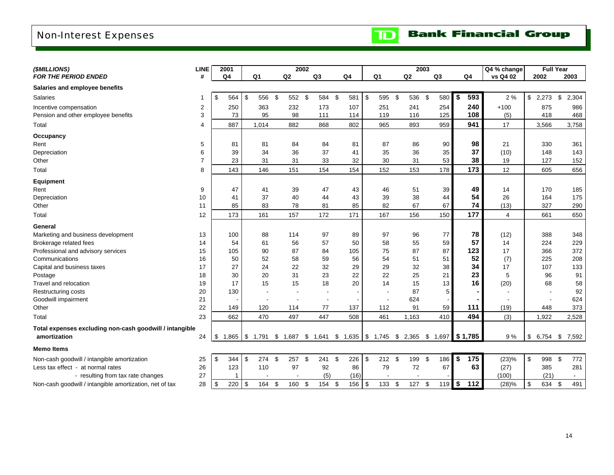## <span id="page-15-0"></span>Non-Interest Expenses



| (\$MILLIONS)                                            | <b>LINE</b>              | 2001                 |                |     |                                                       | 2002 |          |              |            |                | 2003  |                |           |                        | Q4 % change    |           | <b>Full Year</b> |        |
|---------------------------------------------------------|--------------------------|----------------------|----------------|-----|-------------------------------------------------------|------|----------|--------------|------------|----------------|-------|----------------|-----------|------------------------|----------------|-----------|------------------|--------|
| FOR THE PERIOD ENDED                                    | #                        | Q <sub>4</sub>       | Q <sub>1</sub> |     | Q2                                                    |      | Q3       | Q4           |            | Q1             | Q2    | Q <sub>3</sub> |           | Q <sub>4</sub>         | vs Q4 02       | 2002      |                  | 2003   |
| Salaries and employee benefits                          |                          |                      |                |     |                                                       |      |          |              |            |                |       |                |           |                        |                |           |                  |        |
| <b>Salaries</b>                                         | -1                       | \$<br>564            | \$             | 556 | \$<br>552 \$                                          |      | 584 \$   | 581          | $\sqrt{3}$ | 595 \$         | 536   | \$             | 580       | \$<br>593              | 2 %            | \$2,273   | \$               | 2,304  |
| Incentive compensation                                  | 2                        | 250                  |                | 363 | 232                                                   |      | 173      | 107          |            | 251            | 241   |                | 254       | 240                    | $+100$         | 875       |                  | 986    |
| Pension and other employee benefits                     | 3                        | 73                   |                | 95  | 98                                                    |      | 111      | 114          |            | 119            | 116   |                | 125       | 108                    | (5)            | 418       |                  | 468    |
| Total                                                   | $\overline{\mathcal{A}}$ | 887                  | 1,014          |     | 882                                                   |      | 868      | 802          |            | 965            | 893   |                | 959       | 941                    | 17             | 3,566     |                  | 3,758  |
| Occupancy                                               |                          |                      |                |     |                                                       |      |          |              |            |                |       |                |           |                        |                |           |                  |        |
| Rent                                                    | 5                        | 81                   |                | 81  | 84                                                    |      | 84       | 81           |            | 87             | 86    |                | 90        | 98                     | 21             | 330       |                  | 361    |
| Depreciation                                            | 6                        | 39                   |                | 34  | 36                                                    |      | 37       | 41           |            | 35             | 36    |                | 35        | 37                     | (10)           | 148       |                  | 143    |
| Other                                                   | $\overline{7}$           | 23                   |                | 31  | 31                                                    |      | 33       | 32           |            | 30             | 31    |                | 53        | 38                     | 19             | 127       |                  | 152    |
| Total                                                   | 8                        | 143                  |                | 146 | 151                                                   |      | 154      | 154          |            | 152            | 153   |                | 178       | 173                    | 12             | 605       |                  | 656    |
| Equipment                                               |                          |                      |                |     |                                                       |      |          |              |            |                |       |                |           |                        |                |           |                  |        |
| Rent                                                    | 9                        | 47                   |                | 41  | 39                                                    |      | 47       | 43           |            | 46             | 51    |                | 39        | 49                     | 14             | 170       |                  | 185    |
| Depreciation                                            | 10                       | 41                   |                | 37  | 40                                                    |      | 44       | 43           |            | 39             | 38    |                | 44        | 54                     | 26             | 164       |                  | 175    |
| Other                                                   | 11                       | 85                   |                | 83  | 78                                                    |      | 81       | 85           |            | 82             | 67    |                | 67        | 74                     | (13)           | 327       |                  | 290    |
| Total                                                   | 12                       | 173                  |                | 161 | 157                                                   |      | 172      | 171          |            | 167            | 156   |                | 150       | 177                    | $\overline{4}$ | 661       |                  | 650    |
| General                                                 |                          |                      |                |     |                                                       |      |          |              |            |                |       |                |           |                        |                |           |                  |        |
| Marketing and business development                      | 13                       | 100                  |                | 88  | 114                                                   |      | 97       | 89           |            | 97             | 96    |                | 77        | 78                     | (12)           | 388       |                  | 348    |
| Brokerage related fees                                  | 14                       | 54                   |                | 61  | 56                                                    |      | 57       | 50           |            | 58             | 55    |                | 59        | 57                     | 14             | 224       |                  | 229    |
| Professional and advisory services                      | 15                       | 105                  |                | 90  | 87                                                    |      | 84       | 105          |            | 75             | 87    |                | 87        | 123                    | 17             | 366       |                  | 372    |
| Communications                                          | 16                       | 50                   |                | 52  | 58                                                    |      | 59       | 56           |            | 54             | 51    |                | 51        | 52                     | (7)            | 225       |                  | 208    |
| Capital and business taxes                              | 17                       | 27                   |                | 24  | 22                                                    |      | 32       | 29           |            | 29             | 32    |                | 38        | 34                     | 17             | 107       |                  | 133    |
| Postage                                                 | 18                       | 30                   |                | 20  | 31                                                    |      | 23       | 22           |            | 22             | 25    |                | 21        | 23                     | 5              | 96        |                  | 91     |
| Travel and relocation                                   | 19                       | 17                   |                | 15  | 15                                                    |      | 18       | 20           |            | 14             | 15    |                | 13        | 16                     | (20)           | 68        |                  | 58     |
| Restructuring costs                                     | 20                       | 130                  |                |     |                                                       |      |          |              |            | $\blacksquare$ | 87    |                | 5         |                        |                |           |                  | 92     |
| Goodwill impairment                                     | 21                       |                      |                |     |                                                       |      |          |              |            |                | 624   |                |           |                        |                |           |                  | 624    |
| Other                                                   | 22                       | 149                  |                | 120 | 114                                                   |      | 77       | 137          |            | 112            | 91    |                | 59        | 111                    | (19)           | 448       |                  | 373    |
| Total                                                   | 23                       | 662                  |                | 470 | 497                                                   |      | 447      | 508          |            | 461            | 1,163 |                | 410       | 494                    | (3)            | 1,922     |                  | 2,528  |
| Total expenses excluding non-cash goodwill / intangible |                          |                      |                |     |                                                       |      |          |              |            |                |       |                |           |                        |                |           |                  |        |
| amortization                                            | 24                       | \$<br>1,865 \$ 1,791 |                |     | $$1,687$ $$1,641$ $$1,635$ $$1,745$ $$2,365$ $$1,697$ |      |          |              |            |                |       |                |           | $\frac{1}{2}$ \$ 1,785 | 9%             | \$6,754   | \$               | 7,592  |
| <b>Memo Items</b>                                       |                          |                      |                |     |                                                       |      |          |              |            |                |       |                |           |                        |                |           |                  |        |
| Non-cash goodwill / intangible amortization             | 25                       | \$<br>344            | \$             | 274 | - \$<br>$257$ \$                                      |      | $241$ \$ | 226          | $\sqrt{3}$ | $212$ \$       | 199   | \$             | 186       | -\$<br>175             | (23)%          | \$<br>998 | \$               | 772    |
| Less tax effect - at normal rates                       | 26                       | 123                  |                | 110 | 97                                                    |      | 92       | 86           |            | 79             | 72    |                | 67        | 63                     | (27)           | 385       |                  | 281    |
| - resulting from tax rate changes                       | 27                       | $\overline{1}$       |                |     |                                                       |      | (5)      | (16)         |            |                |       |                |           |                        | (100)          | (21)      |                  | $\sim$ |
| Non-cash goodwill / intangible amortization, net of tax | 28                       | \$<br>220            | \$             | 164 | \$<br>160                                             | \$   | 154      | \$<br>156 \$ |            | 133 \$         | 127   | \$             | $119$ $$$ | 112                    | (28)%          | \$<br>634 | \$               | 491    |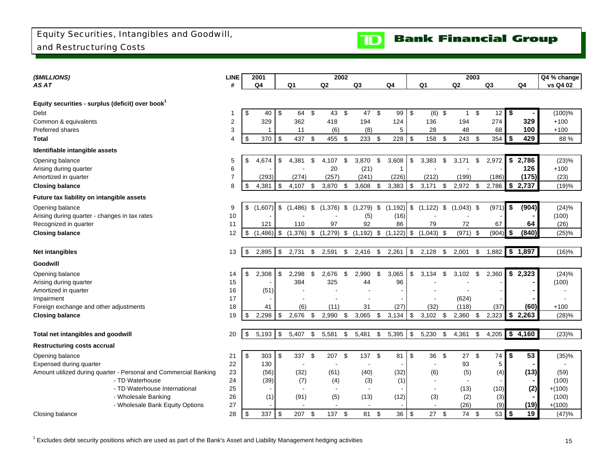

<span id="page-16-0"></span>

| (\$MILLIONS)                                                     | <b>LINE</b>    | 2001          |      |              | 2002           |      |                |             |                          |                    | 2003 |       |             | Q4 % change |
|------------------------------------------------------------------|----------------|---------------|------|--------------|----------------|------|----------------|-------------|--------------------------|--------------------|------|-------|-------------|-------------|
| AS AT                                                            | #              | Q4            |      | Q1           | Q <sub>2</sub> |      | Q <sub>3</sub> | Q4          | Q1                       | Q2                 |      | Q3    | Q4          | vs Q4 02    |
|                                                                  |                |               |      |              |                |      |                |             |                          |                    |      |       |             |             |
| Equity securities - surplus (deficit) over book                  |                |               |      |              |                |      |                |             |                          |                    |      |       |             |             |
| Debt                                                             |                | \$<br>40      | \$   | 64           | \$<br>43       | \$   | 47             | \$<br>99    | \$<br>(6)                | \$<br>$\mathbf{1}$ | \$   | 12    | \$          | (100)%      |
| Common & equivalents                                             | 2              | 329           |      | 362          | 418            |      | 194            | 124         | 136                      | 194                |      | 274   | 329         | $+100$      |
| <b>Preferred shares</b>                                          | 3              | 1             |      | 11           | (6)            |      | (8)            | 5           | 28                       | 48                 |      | 68    | 100         | $+100$      |
| Total                                                            | 4              | \$<br>370     | \$   | 437          | \$<br>455      | \$   | 233            | \$<br>228   | \$<br>158                | \$<br>243          | \$   | 354   | \$<br>429   | 88%         |
| Identifiable intangible assets                                   |                |               |      |              |                |      |                |             |                          |                    |      |       |             |             |
| Opening balance                                                  | 5              | \$<br>4,674   | \$   | 4,381        | \$<br>4,107    | \$   | 3,870          | \$<br>3,608 | \$<br>3,383              | \$<br>3,171        | \$   | 2,972 | \$<br>2,786 | (23)%       |
| Arising during quarter                                           | 6              |               |      |              | 20             |      | (21)           | -1          |                          |                    |      |       | 126         | $+100$      |
| Amortized in quarter                                             | $\overline{7}$ | (293)         |      | (274)        | (257)          |      | (241)          | (226)       | (212)                    | (199)              |      | (186) | (175)       | (23)        |
| <b>Closing balance</b>                                           | 8              | \$<br>4.381   | \$   | 4.107        | \$<br>3,870    | \$   | 3,608          | \$<br>3,383 | \$<br>3,171              | \$<br>2,972        | \$   | 2.786 | \$2,737     | (19)%       |
| Future tax liability on intangible assets                        |                |               |      |              |                |      |                |             |                          |                    |      |       |             |             |
| Opening balance                                                  | 9              | \$<br>(1,607) | \$   | $(1,486)$ \$ | $(1,376)$ \$   |      | $(1,279)$ \$   | (1, 192)    | \$<br>(1, 122)           | \$<br>$(1,043)$ \$ |      | (971) | \$<br>(904) | (24)%       |
| Arising during quarter - changes in tax rates                    | 10             |               |      |              |                |      | (5)            | (16)        |                          |                    |      |       |             | (100)       |
| Recognized in quarter                                            | 11             | 121           |      | 110          | 97             |      | 92             | 86          | 79                       | 72                 |      | 67    | 64          | (26)        |
| <b>Closing balance</b>                                           | 12             | \$<br>(1,486) | l \$ | $(1,376)$ \$ | (1, 279)       | \$   | $(1, 192)$ \$  | (1, 122)    | \$<br>$(1,043)$ \$       | $(971)$ \$         |      | (904) | \$<br>(840) | (25)%       |
|                                                                  |                |               |      |              |                |      |                |             |                          |                    |      |       |             |             |
| <b>Net intangibles</b>                                           | 13             | \$<br>2,895   | \$   | 2,731        | \$<br>2,591    | \$   | 2,416          | \$<br>2,261 | \$<br>2,128              | \$<br>2,001        | \$   | 1,882 | \$1,897     | (16)%       |
| Goodwill                                                         |                |               |      |              |                |      |                |             |                          |                    |      |       |             |             |
| Opening balance                                                  | 14             | \$<br>2,308   | \$   | 2.298        | \$<br>2,676    | \$   | 2.990          | \$<br>3,065 | \$<br>3.134              | \$<br>3,102        | \$   | 2,360 | \$2,323     | (24)%       |
| Arising during quarter                                           | 15             |               |      | 384          | 325            |      | 44             | 96          |                          |                    |      |       |             | (100)       |
| Amortized in quarter                                             | 16             | (51)          |      |              |                |      |                |             |                          |                    |      |       |             |             |
| Impairment                                                       | 17             |               |      |              |                |      |                |             |                          | (624)              |      |       |             |             |
| Foreign exchange and other adjustments                           | 18             | 41            |      | (6)          | (11)           |      | 31             | (27)        | (32)                     | (118)              |      | (37)  | (60)        | $+100$      |
| <b>Closing balance</b>                                           | 19             | \$<br>2,298   | -\$  | 2,676        | \$<br>2,990    | \$   | 3,065          | \$<br>3,134 | \$<br>3,102              | \$<br>2,360        | \$   | 2,323 | \$2,263     | (28)%       |
|                                                                  |                |               |      |              |                |      |                |             |                          |                    |      |       |             |             |
| Total net intangibles and goodwill                               | 20             | \$<br>5,193   | \$   | 5,407        | \$<br>5,581    | \$   | 5,481          | \$<br>5,395 | \$<br>5,230              | \$<br>4,361        | \$   | 4,205 | \$4,160     | (23)%       |
| <b>Restructuring costs accrual</b>                               |                |               |      |              |                |      |                |             |                          |                    |      |       |             |             |
| Opening balance                                                  | 21             | \$<br>303     | \$   | 337          | \$<br>207      | - \$ | 137            | \$<br>81    | \$<br>36                 | \$<br>27           | \$   | 74    | \$<br>53    | (35)%       |
| Expensed during quarter                                          | 22             | 130           |      |              |                |      |                |             | $\overline{\phantom{a}}$ | 93                 |      | 5     |             |             |
| Amount utilized during quarter - Personal and Commercial Banking | 23             | (56)          |      | (32)         | (61)           |      | (40)           | (32)        | (6)                      | (5)                |      | (4)   | (13)        | (59)        |
| - TD Waterhouse                                                  | 24             | (39)          |      | (7)          | (4)            |      | (3)            | (1)         |                          |                    |      |       |             | (100)       |
| - TD Waterhouse International                                    | 25             |               |      |              |                |      | $\blacksquare$ |             | $\blacksquare$           | (13)               |      | (10)  | (2)         | $+(100)$    |
| - Wholesale Banking                                              | 26             | (1)           |      | (91)         | (5)            |      | (13)           | (12)        | (3)                      | (2)                |      | (3)   |             | (100)       |
| - Wholesale Bank Equity Options                                  | 27             |               |      |              |                |      |                |             |                          | (26)               |      | (9)   | (19)        | $+(100)$    |
| Closing balance                                                  | 28             | \$<br>337     | -\$  | 207          | \$<br>137 \$   |      | 81             | \$<br>36    | \$<br>27                 | \$<br>74           | \$   | 53    | \$<br>19    | (47)%       |

 $1$  Excludes debt security positions which are used as part of the Bank's Asset and Liability Management hedging activities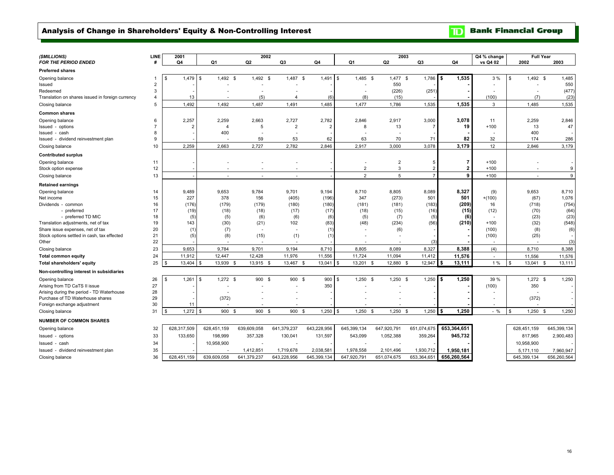### <span id="page-17-0"></span>Analysis of Change in Shareholders' Equity & Non-Controlling Interest

**TD** Bank Financial Group

| (SMILLIONS)                                      | LINE           | 2001           |                    |                          | 2002           |                  |                | 2003                   |                |                | Q4 % change | <b>Full Year</b>                         |             |
|--------------------------------------------------|----------------|----------------|--------------------|--------------------------|----------------|------------------|----------------|------------------------|----------------|----------------|-------------|------------------------------------------|-------------|
| <b>FOR THE PERIOD ENDED</b>                      |                | Q4             | Q <sub>1</sub>     | Q2                       | Q3             | Q <sub>4</sub>   | Q <sub>1</sub> | Q <sub>2</sub>         | Q <sub>3</sub> | Q <sub>4</sub> | vs Q4 02    | 2002                                     | 2003        |
| <b>Preferred shares</b>                          |                |                |                    |                          |                |                  |                |                        |                |                |             |                                          |             |
| Opening balance                                  | 1              | 1,479<br>\$    | $1,492$ \$<br>-9   | $1,492$ \$               | 1,487          | 1,491<br>- \$    | 1,485<br>l \$  | <b>S</b><br>$1,477$ \$ | 1,786          | 1,535<br>l \$  | 3 %         | $1,492$ \$<br>\$                         | 1,485       |
| Issued                                           | $\overline{2}$ |                |                    |                          |                |                  |                | 550                    |                |                |             |                                          | 550         |
| Redeemed                                         | 3              |                |                    |                          |                |                  |                | (226)                  | (251)          |                |             |                                          | (477)       |
| Translation on shares issued in foreign currency | 4              | 13             |                    | (5)                      | 4              | (6)              | (8)            | (15)                   |                |                | (100)       | (7)                                      | (23)        |
| Closing balance                                  | 5              | 1,492          | 1,492              | 1,487                    | 1,491          | 1,485            | 1.477          | 1,786                  | 1,535          | 1,535          | 3           | 1,485                                    | 1,535       |
| <b>Common shares</b>                             |                |                |                    |                          |                |                  |                |                        |                |                |             |                                          |             |
| Opening balance                                  | 6              | 2,257          | 2,259              | 2,663                    | 2.727          | 2,782            | 2.846          | 2,917                  | 3,000          | 3,078          | 11          | 2,259                                    | 2,846       |
| Issued - options                                 | $\overline{7}$ | $\overline{2}$ | $\overline{4}$     | 5                        | $\overline{2}$ | $\overline{2}$   | 8              | 13                     |                | 19             | $+100$      | 13                                       | 47          |
| Issued - cash                                    | 8              |                | 400                |                          |                |                  |                |                        |                |                |             | 400                                      |             |
| Issued - dividend reinvestment plan              | 9              |                |                    | 59                       | 53             | 62               | 63             | 70                     | 71             | 82             | 32          | 174                                      | 286         |
| Closing balance                                  | 10             | 2.259          | 2,663              | 2,727                    | 2,782          | 2,846            | 2,917          | 3,000                  | 3,078          | 3.179          | 12          | 2.846                                    | 3,179       |
| <b>Contributed surplus</b>                       |                |                |                    |                          |                |                  |                |                        |                |                |             |                                          |             |
| Opening balance                                  | 11             |                |                    |                          |                |                  |                | $\overline{2}$         | 5              |                | $+100$      |                                          |             |
| Stock option expense                             | 12             |                |                    |                          |                |                  | $\overline{2}$ | 3                      |                |                | $+100$      |                                          | 9           |
| Closing balance                                  | 13             |                | - 2                |                          |                |                  | $\overline{2}$ | 5                      | $\overline{7}$ | 9              | $+100$      |                                          | 9           |
| <b>Retained earnings</b>                         |                |                |                    |                          |                |                  |                |                        |                |                |             |                                          |             |
| Opening balance                                  | 14             | 9,489          | 9.653              | 9,784                    | 9.701          | 9,194            | 8.710          | 8.805                  | 8,089          | 8.327          | (9)         | 9.653                                    | 8.710       |
| Net income                                       | 15             | 227            | 378                | 156                      | (405)          | (196)            | 347            | (273)                  | 501            | 501            | $+(100)$    | (67)                                     | 1,076       |
| Dividends - common                               | 16             | (176)          | (179)              | (179)                    | (180)          | (180)            | (181)          | (181)                  | (183)          | (209)          | 16          | (718)                                    | (754)       |
| - preferred                                      | 17             | (19)           | (18)               | (18)                     | (17)           | (17)             | (18)           | (15)                   | (16)           | (15)           | (12)        | (70)                                     | (64)        |
| - preferred TD MIC                               | 18             | (5)            | (5)                | (6)                      | (6)            | (6)              | (5)            | (7)                    | (5)            | (6)            |             | (23)                                     | (23)        |
| Translation adjustments, net of tax              | 19             | 143            | (30)               | (21)                     | 102            | (83)             | (48)           | (234)                  | (56)           | (210)          | $+100$      | (32)                                     | (548)       |
| Share issue expenses, net of tax                 | 20             | (1)            | (7)                | $\overline{\phantom{a}}$ |                | (1)              |                | (6)                    |                |                | (100)       | (8)                                      | (6)         |
| Stock options settled in cash, tax effected      | 21             | (5)            | (8)                | (15)                     | (1)            | (1)              |                | ٠                      |                |                | (100)       | (25)                                     |             |
| Other                                            | 22             |                |                    |                          |                |                  |                |                        | (3)            |                |             |                                          | (3)         |
| Closing balance                                  | 23             | 9,653          | 9,784              | 9,701                    | 9,194          | 8,710            | 8,805          | 8,089                  | 8,327          | 8,388          | (4)         | 8,710                                    | 8,388       |
| <b>Total common equity</b>                       | 24             | 11,912         | 12,447             | 12,428                   | 11,976         | 11,556           | 11,724         | 11,094                 | 11,412         | 11,576         | $\sim$      | 11,556                                   | 11,576      |
| Total shareholders' equity                       | 25             | 13,404<br>\$   | 13,939<br>-S       | 13,915 \$<br>- \$        | 13,467         | 13,041<br>-S     | 13,201         | 12,880<br>- \$         | 12,947         | 13,111<br>-96  | 1%          | 13,041<br>$\mathbf{\hat{s}}$<br><b>S</b> | 13,111      |
| Non-controlling interest in subsidiaries         |                |                |                    |                          |                |                  |                |                        |                |                |             |                                          |             |
| Opening balance                                  | 26             | 1,261<br>\$.   | $1,272$ \$<br>l \$ | 900 \$                   | 900 \$         | 900S             | 1,250          | $1,250$ \$<br>-S       | 1,250          | 1,250<br>l \$  | 39 %        | $1,272$ \$                               | 1,250       |
| Arising from TD CaTS II issue                    | 27             |                |                    |                          |                | 350              |                |                        |                |                | (100)       | 350                                      |             |
| Arising during the period - TD Waterhouse        | 28             |                |                    |                          |                |                  |                |                        |                |                |             |                                          |             |
| Purchase of TD Waterhouse shares                 | 29             |                | (372)              |                          |                |                  |                |                        |                |                |             | (372)                                    |             |
| Foreign exchange adjustment                      | 30             | 11             |                    |                          |                |                  |                |                        |                |                |             |                                          |             |
| Closing balance                                  | 31             | 1,272<br>\$    | 900 \$<br>l \$     | 900 \$                   | 900            | $1,250$ \$<br>-S | 1,250          | 1,250<br>- \$<br>- \$  | 1,250          | 1,250          | $-$ %       | 1,250<br>- \$                            | 1,250       |
| <b>NUMBER OF COMMON SHARES</b>                   |                |                |                    |                          |                |                  |                |                        |                |                |             |                                          |             |
| Opening balance                                  | 32             | 628,317,509    | 628,451,159        | 639,609,058              | 641,379,237    | 643,228,956      | 645,399,134    | 647,920,791            | 651,074,675    | 653,364,651    |             | 628,451,159                              | 645,399,134 |
| Issued - options                                 | 33             | 133,650        | 198,999            | 357,328                  | 130,041        | 131,597          | 543,099        | 1,052,388              | 359,264        | 945,732        |             | 817.965                                  | 2,900,483   |
| Issued - cash                                    | 34             |                | 10,958,900         |                          |                |                  |                |                        |                |                |             | 10,958,900                               |             |
| Issued - dividend reinvestment plan              | 35             |                |                    | 1,412,851                | 1,719,678      | 2,038,581        | 1,978,558      | 2,101,496              | 1,930,712      | 1,950,181      |             | 5,171,110                                | 7,960,947   |
| Closing balance                                  | 36             | 628,451,159    | 639,609,058        | 641,379,237              | 643,228,956    | 645,399,134      | 647,920,791    | 651,074,675            | 653,364,65     | 656,260,564    |             | 645,399,134                              | 656,260,564 |
|                                                  |                |                |                    |                          |                |                  |                |                        |                |                |             |                                          |             |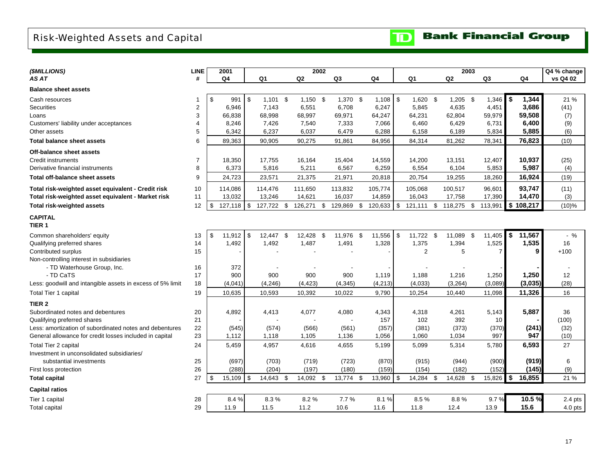## <span id="page-18-0"></span>Risk-Weighted Assets and Capital

**Bank Financial Group**  $\mathbf{D}$ 

| (\$MILLIONS)                                               | <b>LINE</b>    | 2001                     |          |            | 2002       |               |                |      |                |               | 2003 |                |               | Q4 % change |
|------------------------------------------------------------|----------------|--------------------------|----------|------------|------------|---------------|----------------|------|----------------|---------------|------|----------------|---------------|-------------|
| AS AT                                                      | #              | Q4                       |          | Q1         | Q2         | Q3            | Q <sub>4</sub> |      | Q <sub>1</sub> | Q2            |      | Q <sub>3</sub> | Q4            | vs Q4 02    |
| <b>Balance sheet assets</b>                                |                |                          |          |            |            |               |                |      |                |               |      |                |               |             |
| Cash resources                                             | -1             | \$<br>991                | \$       | $1,101$ \$ | $1,150$ \$ | $1,370$ \$    | $1,108$ \$     |      | $1,620$ \$     | $1,205$ \$    |      | 1,346          | \$<br>1,344   | 21 %        |
| <b>Securities</b>                                          | $\overline{2}$ | 6,946                    |          | 7,143      | 6,551      | 6,708         | 6,247          |      | 5,845          | 4,635         |      | 4,451          | 3,686         | (41)        |
| Loans                                                      | 3              | 66,838                   |          | 68,998     | 68,997     | 69,971        | 64,247         |      | 64,231         | 62,804        |      | 59,979         | 59,508        | (7)         |
| Customers' liability under acceptances                     | 4              | 8,246                    |          | 7,426      | 7,540      | 7,333         | 7,066          |      | 6,460          | 6,429         |      | 6,731          | 6,400         | (9)         |
| Other assets                                               | 5              | 6,342                    |          | 6,237      | 6,037      | 6,479         | 6,288          |      | 6,158          | 6,189         |      | 5,834          | 5,885         | (6)         |
| <b>Total balance sheet assets</b>                          | 6              | 89,363                   |          | 90,905     | 90,275     | 91,861        | 84,956         |      | 84,314         | 81,262        |      | 78,341         | 76,823        | (10)        |
| Off-balance sheet assets                                   |                |                          |          |            |            |               |                |      |                |               |      |                |               |             |
| Credit instruments                                         | $\overline{7}$ | 18,350                   |          | 17,755     | 16,164     | 15,404        | 14,559         |      | 14,200         | 13,151        |      | 12,407         | 10,937        | (25)        |
| Derivative financial instruments                           | 8              | 6,373                    |          | 5,816      | 5,211      | 6,567         | 6,259          |      | 6,554          | 6,104         |      | 5,853          | 5,987         | (4)         |
| <b>Total off-balance sheet assets</b>                      | 9              | 24,723                   |          | 23,571     | 21,375     | 21,971        | 20,818         |      | 20,754         | 19,255        |      | 18,260         | 16,924        | (19)        |
| Total risk-weighted asset equivalent - Credit risk         | 10             | 114,086                  |          | 114,476    | 111,650    | 113,832       | 105,774        |      | 105,068        | 100,517       |      | 96,601         | 93,747        | (11)        |
| Total risk-weighted asset equivalent - Market risk         | 11             | 13,032                   |          | 13,246     | 14,621     | 16,037        | 14,859         |      | 16,043         | 17,758        |      | 17,390         | 14,470        | (3)         |
| <b>Total risk-weighted assets</b>                          | 12             | \$<br>127,118            | \$       | 127,722 \$ | 126,271    | \$<br>129,869 | \$<br>120,633  | \$   | 121,111        | \$<br>118,275 | -\$  | 113,991        | \$<br>108,217 | $(10)\%$    |
| <b>CAPITAL</b><br>TIER <sub>1</sub>                        |                |                          |          |            |            |               |                |      |                |               |      |                |               |             |
| Common shareholders' equity                                | 13             | $\mathfrak{s}$<br>11,912 | <b>S</b> | 12,447 \$  | 12,428 \$  | 11,976 \$     | 11,556         | - \$ | 11,722 \$      | 11,089 \$     |      | 11,405         | \$<br>11,567  | $-$ %       |
| Qualifying preferred shares                                | 14             | 1,492                    |          | 1,492      | 1,487      | 1,491         | 1,328          |      | 1,375          | 1,394         |      | 1,525          | 1,535         | 16          |
| Contributed surplus                                        | 15             |                          |          |            |            |               |                |      | $\overline{2}$ | 5             |      | $\overline{7}$ | 9             | $+100$      |
| Non-controlling interest in subsidiaries                   |                |                          |          |            |            |               |                |      |                |               |      |                |               |             |
| - TD Waterhouse Group, Inc.                                | 16             | 372                      |          |            |            |               |                |      |                |               |      |                |               |             |
| - TD CaTS                                                  | 17             | 900                      |          | 900        | 900        | 900           | 1,119          |      | 1,188          | 1,216         |      | 1,250          | 1,250         | 12          |
| Less: goodwill and intangible assets in excess of 5% limit | 18             | (4,041)                  |          | (4, 246)   | (4, 423)   | (4, 345)      | (4, 213)       |      | (4,033)        | (3,264)       |      | (3,089)        | (3,035)       | (28)        |
| Total Tier 1 capital                                       | 19             | 10,635                   |          | 10,593     | 10,392     | 10,022        | 9,790          |      | 10,254         | 10,440        |      | 11,098         | 11,326        | 16          |
| TIER <sub>2</sub>                                          |                |                          |          |            |            |               |                |      |                |               |      |                |               |             |
| Subordinated notes and debentures                          | 20             | 4,892                    |          | 4,413      | 4,077      | 4,080         | 4,343          |      | 4,318          | 4,261         |      | 5,143          | 5,887         | 36          |
| Qualifying preferred shares                                | 21             |                          |          |            |            |               | 157            |      | 102            | 392           |      | 10             |               | (100)       |
| Less: amortization of subordinated notes and debentures    | 22             | (545)                    |          | (574)      | (566)      | (561)         | (357)          |      | (381)          | (373)         |      | (370)          | (241)         | (32)        |
| General allowance for credit losses included in capital    | 23             | 1,112                    |          | 1,118      | 1,105      | 1,136         | 1,056          |      | 1,060          | 1,034         |      | 997            | 947           | (10)        |
| Total Tier 2 capital                                       | 24             | 5,459                    |          | 4,957      | 4,616      | 4,655         | 5,199          |      | 5,099          | 5,314         |      | 5,780          | 6,593         | 27          |
| Investment in unconsolidated subsidiaries/                 |                |                          |          |            |            |               |                |      |                |               |      |                |               |             |
| substantial investments                                    | 25             | (697)                    |          | (703)      | (719)      | (723)         | (870)          |      | (915)          | (944)         |      | (900)          | (919)         | 6           |
| First loss protection                                      | 26             | (288)                    |          | (204)      | (197)      | (180)         | (159)          |      | (154)          | (182)         |      | (152)          | (145)         | (9)         |
| <b>Total capital</b>                                       | 27             | 15,109<br>\$             | \$       | 14,643 \$  | 14,092 \$  | 13,774 \$     | 13,960         | \$   | 14,284 \$      | 14,628 \$     |      | 15,826         | \$<br>16,855  | 21 %        |
| <b>Capital ratios</b>                                      |                |                          |          |            |            |               |                |      |                |               |      |                |               |             |
| Tier 1 capital                                             | 28             | 8.4%                     |          | 8.3%       | 8.2%       | 7.7%          | 8.1%           |      | 8.5%           | 8.8%          |      | 9.7%           | 10.5%         | $2.4$ pts   |
| Total capital                                              | 29             | 11.9                     |          | 11.5       | 11.2       | 10.6          | 11.6           |      | 11.8           | 12.4          |      | 13.9           | 15.6          | $4.0$ pts   |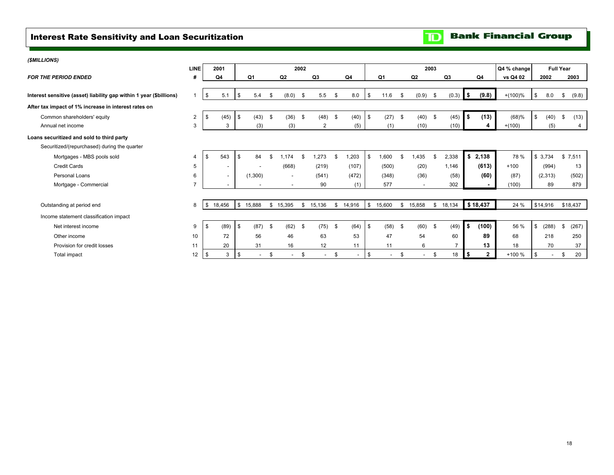## <span id="page-19-0"></span>Interest Rate Sensitivity and Loan Securitization

## **Bank Financial Group**

| (\$MILLIONS)                                                        |                |                          |              |                          |      |                          |             |                |           |          |      |                          |           |        |      |          |                |                |             |             |                  |
|---------------------------------------------------------------------|----------------|--------------------------|--------------|--------------------------|------|--------------------------|-------------|----------------|-----------|----------|------|--------------------------|-----------|--------|------|----------|----------------|----------------|-------------|-------------|------------------|
|                                                                     | <b>LINE</b>    | 2001                     |              |                          |      |                          | 2002        |                |           |          |      |                          |           |        | 2003 |          |                |                | Q4 % change |             | <b>Full Year</b> |
| <b>FOR THE PERIOD ENDED</b>                                         | #              | Q4                       |              | Q1                       |      | Q <sub>2</sub>           |             | Q <sub>3</sub> |           | Q4       |      | Q1                       |           | Q2     |      | Q3       |                | Q4             | vs Q4 02    | 2002        | 2003             |
|                                                                     |                |                          |              |                          |      |                          |             |                |           |          |      |                          |           |        |      |          |                |                |             |             |                  |
| Interest sensitive (asset) liability gap within 1 year (\$billions) |                | 5.1<br>\$                | $\sqrt{3}$   | 5.4                      | - \$ | (8.0)                    | - \$        | 5.5            | <b>.ε</b> | 8.0      | \$   | 11.6                     |           | (0.9)  | \$   | (0.3)    | $\blacksquare$ | (9.8)          | $+(100)%$   | \$<br>8.0   | (9.8)<br>S.      |
| After tax impact of 1% increase in interest rates on                |                |                          |              |                          |      |                          |             |                |           |          |      |                          |           |        |      |          |                |                |             |             |                  |
| Common shareholders' equity                                         | $\overline{2}$ | (45)<br>\$               | $\sqrt{3}$   | $(43)$ \$                |      | (36)                     | $\mathbf s$ | (48)           | \$        | (40)     | - \$ | (27)                     | - \$      | (40)   | - \$ | (45)     | l \$           | (13)           | (68)%       | \$<br>(40)  | (13)<br>\$       |
| Annual net income                                                   | 3              | 3                        |              | (3)                      |      | (3)                      |             | 2              |           | (5)      |      | (1)                      |           | (10)   |      | (10)     |                |                | $+(100)$    | (5)         | 4                |
| Loans securitized and sold to third party                           |                |                          |              |                          |      |                          |             |                |           |          |      |                          |           |        |      |          |                |                |             |             |                  |
| Securitized/(repurchased) during the quarter                        |                |                          |              |                          |      |                          |             |                |           |          |      |                          |           |        |      |          |                |                |             |             |                  |
| Mortgages - MBS pools sold                                          | $\overline{4}$ | 543<br>- 35              | $\mathbb{S}$ | 84                       | £.   | .174                     | £.          | .273           |           | 1,203    | \$.  | 006,1                    |           | .435   | S    | 2,338    |                | \$2,138        | 78 %        | \$3,734     | \$7,511          |
| <b>Credit Cards</b>                                                 | 5              | $\overline{\phantom{a}}$ |              |                          |      | (668)                    |             | (219)          |           | (107)    |      | (500)                    |           | (20)   |      | 1,146    |                | (613)          | $+100$      | (994)       | 13               |
| Personal Loans                                                      | 6              | $\overline{\phantom{a}}$ |              | (1,300)                  |      | $\overline{\phantom{a}}$ |             | (541)          |           | (472)    |      | (348)                    |           | (36)   |      | (58)     |                | (60)           | (87)        | (2,313)     | (502)            |
| Mortgage - Commercial                                               | $\overline{7}$ |                          |              | $\overline{\phantom{a}}$ |      | $\overline{\phantom{a}}$ |             | 90             |           | (1)      |      | 577                      |           |        |      | 302      |                |                | (100)       | 89          | 879              |
|                                                                     |                |                          |              |                          |      |                          |             |                |           |          |      |                          |           |        |      |          |                |                |             |             |                  |
| Outstanding at period end                                           | 8              | - \$<br>18,456           | $\mathbf{s}$ | 15.888                   |      | \$15,395                 | \$          | 15,136         |           | \$14,916 | \$   | 15,600                   | S.        | 15.858 |      | \$18,134 |                | \$18,437       | 24 %        | \$14,916    | \$18,437         |
| Income statement classification impact                              |                |                          |              |                          |      |                          |             |                |           |          |      |                          |           |        |      |          |                |                |             |             |                  |
| Net interest income                                                 | 9              | (89)<br>-\$              | \$           | $(87)$ \$                |      | (62)                     | - \$        | (75)           | -\$       | (64)     | -\$  | (58)                     | - \$      | (60)   | \$   | (49)     | $-5$           | (100)          | 56 %        | \$<br>(288) | (267)<br>\$      |
| Other income                                                        | 10             | 72                       |              | 56                       |      | 46                       |             | 63             |           | 53       |      | 47                       |           | 54     |      | 60       |                | 89             | 68          | 218         | 250              |
| Provision for credit losses                                         | 11             | 20                       |              | 31                       |      | 16                       |             | 12             |           | 11       |      | 11                       |           | 6      |      |          |                | 13             | 18          | 70          | 37               |
| Total impact                                                        | 12             | -\$<br>3                 | <b>S</b>     | $\overline{\phantom{a}}$ | \$   |                          | \$          |                | £.        | $\sim$   | -9   | $\overline{\phantom{a}}$ | <b>.s</b> |        | \$   | 18       | I \$           | $\overline{2}$ | +100 %      |             | 20<br>\$.        |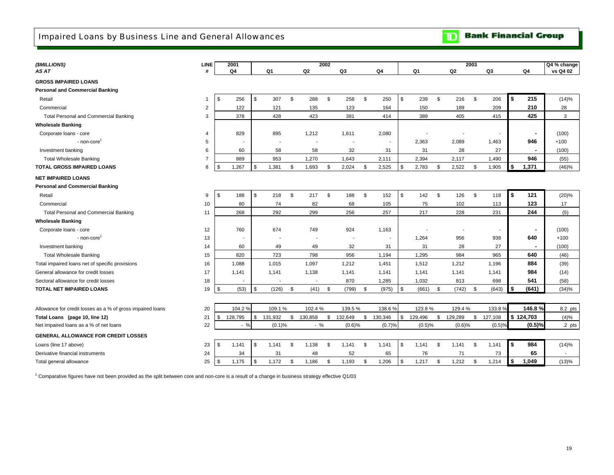<span id="page-20-0"></span>

| (\$MILLIONS)                                               | <b>LINE</b>    | 2001           |               |         |          |                          | 2002     |                          |                |     |         |      |                          | 2003 |         |              |           | Q4 % change |
|------------------------------------------------------------|----------------|----------------|---------------|---------|----------|--------------------------|----------|--------------------------|----------------|-----|---------|------|--------------------------|------|---------|--------------|-----------|-------------|
| AS AT                                                      | #              | Q4             |               | Q1      |          | Q <sub>2</sub>           |          | Q3                       | Q4             |     | Q1      |      | Q2                       |      | Q3      |              | Q4        | vs Q4 02    |
| <b>GROSS IMPAIRED LOANS</b>                                |                |                |               |         |          |                          |          |                          |                |     |         |      |                          |      |         |              |           |             |
| <b>Personal and Commercial Banking</b>                     |                |                |               |         |          |                          |          |                          |                |     |         |      |                          |      |         |              |           |             |
| Retail                                                     | 1              | \$<br>256      | \$            | 307     | <b>S</b> | 288                      | \$       | 258                      | \$<br>250      | \$  | 239     | - \$ | 216                      | \$   | 206     | l \$         | 215       | (14)%       |
| Commercial                                                 | $\overline{2}$ | 122            |               | 121     |          | 135                      |          | 123                      | 164            |     | 150     |      | 189                      |      | 209     |              | 210       | 28          |
| Total Personal and Commercial Banking                      | 3              | 378            |               | 428     |          | 423                      |          | 381                      | 414            |     | 389     |      | 405                      |      | 415     |              | 425       | 3           |
| <b>Wholesale Banking</b>                                   |                |                |               |         |          |                          |          |                          |                |     |         |      |                          |      |         |              |           |             |
| Corporate loans - core                                     | 4              | 829            |               | 895     |          | 1,212                    |          | 1,611                    | 2,080          |     |         |      |                          |      |         |              |           | (100)       |
| - non-core                                                 | 5              |                |               |         |          |                          |          |                          |                |     | 2,363   |      | 2,089                    |      | 1,463   |              | 946       | $+100$      |
| Investment banking                                         | 6              | 60             |               | 58      |          | 58                       |          | 32                       | 31             |     | 31      |      | 28                       |      | 27      |              |           | (100)       |
| <b>Total Wholesale Banking</b>                             | $\overline{7}$ | 889            |               | 953     |          | 1,270                    |          | 1,643                    | 2,111          |     | 2,394   |      | 2,117                    |      | 1,490   |              | 946       | (55)        |
| <b>TOTAL GROSS IMPAIRED LOANS</b>                          | 8              | \$<br>1,267    | \$            | 1,381   | \$       | 1,693                    | \$       | 2,024                    | \$<br>2,525    | -\$ | 2,783   | \$   | 2,522                    | \$   | 1,905   | \$           | 1,371     | (46)%       |
| <b>NET IMPAIRED LOANS</b>                                  |                |                |               |         |          |                          |          |                          |                |     |         |      |                          |      |         |              |           |             |
| <b>Personal and Commercial Banking</b>                     |                |                |               |         |          |                          |          |                          |                |     |         |      |                          |      |         |              |           |             |
| Retail                                                     | 9              | \$<br>188      | \$            | 218     | \$       | 217                      | <b>S</b> | 188                      | \$<br>152      | \$  | 142     | \$   | 126                      | \$   | 118     | $\mathbf{s}$ | 121       | (20)%       |
| Commercial                                                 | 10             | 80             |               | 74      |          | 82                       |          | 68                       | 105            |     | 75      |      | 102                      |      | 113     |              | 123       | 17          |
| <b>Total Personal and Commercial Banking</b>               | 11             | 268            |               | 292     |          | 299                      |          | 256                      | 257            |     | 217     |      | 228                      |      | 231     |              | 244       | (5)         |
| <b>Wholesale Banking</b>                                   |                |                |               |         |          |                          |          |                          |                |     |         |      |                          |      |         |              |           |             |
| Corporate loans - core                                     | 12             | 760            |               | 674     |          | 749                      |          | 924                      | 1,163          |     |         |      | $\overline{\phantom{a}}$ |      |         |              |           | (100)       |
| - non-core                                                 | 13             |                |               |         |          | $\overline{\phantom{a}}$ |          | $\overline{\phantom{a}}$ | $\blacksquare$ |     | 1,264   |      | 956                      |      | 938     |              | 640       | $+100$      |
| Investment banking                                         | 14             | 60             |               | 49      |          | 49                       |          | 32                       | 31             |     | 31      |      | 28                       |      | 27      |              |           | (100)       |
| <b>Total Wholesale Banking</b>                             | 15             | 820            |               | 723     |          | 798                      |          | 956                      | 1,194          |     | 1,295   |      | 984                      |      | 965     |              | 640       | (46)        |
| Total impaired loans net of specific provisions            | 16             | 1,088          |               | 1,015   |          | 1,097                    |          | 1.212                    | 1,451          |     | 1,512   |      | 1,212                    |      | 1,196   |              | 884       | (39)        |
| General allowance for credit losses                        | 17             | 1,141          |               | 1,141   |          | 1,138                    |          | 1,141                    | 1,141          |     | 1,141   |      | 1,141                    |      | 1,141   |              | 984       | (14)        |
| Sectoral allowance for credit losses                       | 18             | $\overline{a}$ |               |         |          | $\blacksquare$           |          | 870                      | 1,285          |     | 1,032   |      | 813                      |      | 698     |              | 541       | (58)        |
| TOTAL NET IMPAIRED LOANS                                   | 19             | \$<br>(53)     | $\mathfrak s$ | (126)   | \$       | (41)                     | \$       | (799)                    | \$<br>(975)    | \$  | (661)   | \$   | (742)                    | \$   | (643)   |              | (641)     | (34)%       |
|                                                            |                |                |               |         |          |                          |          |                          |                |     |         |      |                          |      |         |              |           |             |
| Allowance for credit losses as a % of gross impaired loans | 20             | 104.2%         |               | 109.1%  |          | 102.4%                   |          | 139.5%                   | 138.6%         |     | 123.8%  |      | 129.4%                   |      | 133.8%  |              | 146.8%    | 8.2 pts     |
| Total Loans (page 10, line 12)                             | 21             | \$<br>128,795  | \$            | 131,932 | \$       | 130,858                  | \$       | 132,649                  | \$<br>130,346  | \$  | 129,496 | \$   | 129,289                  | \$   | 127,108 |              | \$124,703 | (4)%        |
| Net impaired loans as a % of net loans                     | 22             | $-$ %          |               | (0.1)%  |          | $-$ %                    |          | (0.6)%                   | (0.7)%         |     | (0.5)%  |      | (0.6)%                   |      | (0.5)%  |              | (0.5)%    | $.2$ pts    |
| <b>GENERAL ALLOWANCE FOR CREDIT LOSSES</b>                 |                |                |               |         |          |                          |          |                          |                |     |         |      |                          |      |         |              |           |             |
| Loans (line 17 above)                                      | 23             | \$<br>1,141    | \$            | 1,141   | \$       | 1,138                    | \$       | 1,141                    | \$<br>1,141    | \$  | 1,141   | \$   | 1,141                    | \$   | 1,141   | l \$         | 984       | (14)%       |
| Derivative financial instruments                           | 24             | 34             |               | 31      |          | 48                       |          | 52                       | 65             |     | 76      |      | 71                       |      | 73      |              | 65        |             |
| Total general allowance                                    | 25             | \$<br>1,175    | \$            | 1,172   | \$       | 1,186                    | \$       | 1,193                    | \$<br>1,206    | \$  | 1,217   | \$   | 1,212                    | \$   | 1,214   | 5            | 1,049     | (13)%       |

<sup>1</sup> Comparative figures have not been provided as the split between core and non-core is a result of a change in business strategy effective Q1/03